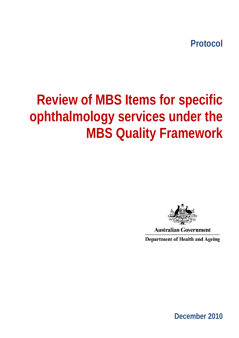**Protocol** 

# **Review of MBS Items for specific ophthalmology services under the MBS Quality Framework**



**Australian Government** 

**Department of Health and Ageing** 

**December 2010**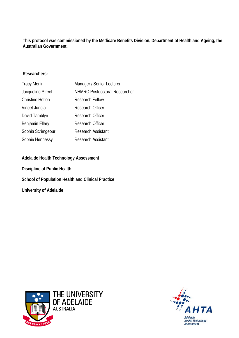**This protocol was commissioned by the Medicare Benefits Division, Department of Health and Ageing, the Australian Government.** 

#### **Researchers:**

| <b>Tracy Merlin</b>     | Manager / Senior Lecturer            |
|-------------------------|--------------------------------------|
| Jacqueline Street       | <b>NHMRC Postdoctoral Researcher</b> |
| <b>Christine Holton</b> | <b>Research Fellow</b>               |
| Vineet Juneja           | <b>Research Officer</b>              |
| David Tamblyn           | <b>Research Officer</b>              |
| <b>Benjamin Ellery</b>  | <b>Research Officer</b>              |
| Sophia Scrimgeour       | <b>Research Assistant</b>            |
| Sophie Hennessy         | <b>Research Assistant</b>            |

**Adelaide Health Technology Assessment Discipline of Public Health School of Population Health and Clinical Practice University of Adelaide** 



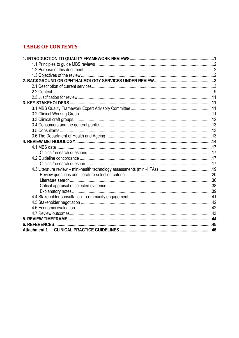# **TABLE OF CONTENTS**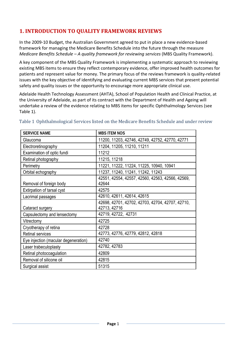# **1. INTRODUCTION TO QUALITY FRAMEWORK REVIEWS**

In the 2009‐10 Budget, the Australian Government agreed to put in place a new evidence‐based framework for managing the Medicare Benefits Schedule into the future through the measure *Medicare Benefits Schedule – A quality framework for reviewing services* (MBS Quality Framework).

A key component of the MBS Quality Framework is implementing a systematic approach to reviewing existing MBS items to ensure they reflect contemporary evidence, offer improved health outcomes for patients and represent value for money. The primary focus of the reviews framework is quality-related issues with the key objective of identifying and evaluating current MBS services that present potential safety and quality issues or the opportunity to encourage more appropriate clinical use.

Adelaide Health Technology Assessment (AHTA), School of Population Health and Clinical Practice, at the University of Adelaide, as part of its contract with the Department of Health and Ageing will undertake a review of the evidence relating to MBS items for specific Ophthalmology Services (see Table 1).

| <b>SERVICE NAME</b>                  | <b>MBS ITEM NOS</b>                              |
|--------------------------------------|--------------------------------------------------|
| Glaucoma                             | 11200, 11203, 42746, 42749, 42752, 42770, 42771  |
| Electroretinography                  | 11204, 11205, 11210, 11211                       |
| Examination of optic fundi           | 11212                                            |
| Retinal photography                  | 11215, 11218                                     |
| Perimetry                            | 11221, 11222, 11224, 11225, 10940, 10941         |
| Orbital echography                   | 11237, 11240, 11241, 11242, 11243                |
|                                      | 42551, 42554, 42557, 42560, 42563, 42566, 42569, |
| Removal of foreign body              | 42644                                            |
| Extirpation of tarsal cyst           | 42575                                            |
| Lacrimal passages                    | 42610, 42611, 42614, 42615                       |
|                                      | 42698, 42701, 42702, 42703, 42704, 42707, 42710, |
| Cataract surgery                     | 42713, 42716                                     |
| Capsulectomy and lensectomy          | 42719, 42722, 42731                              |
| Vitrectomy                           | 42725                                            |
| Cryotherapy of retina                | 42728                                            |
| <b>Retinal services</b>              | 42773, 42776, 42779, 42812, 42818                |
| Eye injection (macular degeneration) | 42740                                            |
| Laser trabeculoplasty                | 42782, 42783                                     |
| Retinal photocoagulation             | 42809                                            |
| Removal of silicone oil              | 42815                                            |
| Surgical assist                      | 51315                                            |

## Table 1 Ophthalmological Services listed on the Medicare Benefits Schedule and under review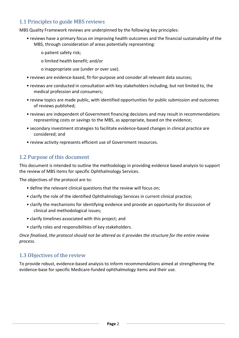# 1.1 Principles to guide MBS reviews

MBS Quality Framework reviews are underpinned by the following key principles:

- reviews have a primary focus on improving health outcomes and the financial sustainability of the MBS, through consideration of areas potentially representing:
	- o patient safety risk;
	- o limited health benefit; and/or
	- o inappropriate use (under or over use).
- reviews are evidence‐based, fit‐for‐purpose and consider all relevant data sources;
- reviews are conducted in consultation with key stakeholders including, but not limited to, the medical profession and consumers;
- review topics are made public, with identified opportunities for public submission and outcomes of reviews published;
- reviews are independent of Government financing decisions and may result in recommendations representing costs or savings to the MBS, as appropriate, based on the evidence;
- secondary investment strategies to facilitate evidence‐based changes in clinical practice are considered; and
- review activity represents efficient use of Government resources.

# 1.2 Purpose of this document

This document is intended to outline the methodology in providing evidence based analysis to support the review of MBS items for specific Ophthalmology Services.

The objectives of the protocol are to:

- define the relevant clinical questions that the review will focus on;
- clarify the role of the identified Ophthalmology Services in current clinical practice;
- clarify the mechanisms for identifying evidence and provide an opportunity for discussion of clinical and methodological issues;
- clarify timelines associated with this project; and
- clarify roles and responsibilities of key stakeholders.

*Once finalised, the protocol should not be altered as it provides the structure for the entire review process.*

# 1.3 Objectives of the review

To provide robust, evidence‐based analysis to inform recommendations aimed at strengthening the evidence-base for specific Medicare-funded ophthalmology items and their use.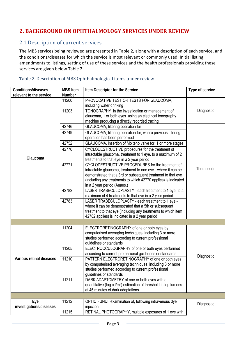# **2. BACKGROUND ON OPHTHALMO LOGY SERVICES UNDER REVIEW**

# 2.1 Description of current services

The MBS services being reviewed are presented in [Table](#page-5-0) 2, along with a description of each service, and the conditions/diseases for which the service is most relevant or commonly used. Initial listing, amendments to listings, setting of use of these services and the health professionals providing these services are given below Table 2.

<span id="page-5-0"></span>

| <b>Conditions/diseases</b> | <b>MBS</b> Item | Item Descriptor for the Service                                                                                 | Type of service |
|----------------------------|-----------------|-----------------------------------------------------------------------------------------------------------------|-----------------|
| relevant to the service    | Number          |                                                                                                                 |                 |
|                            | 11200           | PROVOCATIVE TEST OR TESTS FOR GLAUCOMA,                                                                         |                 |
|                            | 11203           | including water drinking<br>TONOGRAPHY in the investigation or management of                                    | Diagnostic      |
|                            |                 | glaucoma, 1 or both eyes using an electrical tonography                                                         |                 |
|                            |                 | machine producing a directly recorded tracing                                                                   |                 |
|                            | 42746           | GLAUCOMA, filtering operation for                                                                               |                 |
|                            | 42749           | GLAUCOMA, filtering operation for, where previous filtering                                                     |                 |
|                            |                 | operation has been performed                                                                                    |                 |
|                            | 42752           | GLAUCOMA, insertion of Molteno valve for, 1 or more stages                                                      |                 |
|                            | 42770           |                                                                                                                 |                 |
|                            |                 | CYCLODESTRUCTIVE procedures for the treatment of<br>intractable glaucoma, treatment to 1 eye, to a maximum of 2 |                 |
| Glaucoma                   |                 | treatments to that eye in a 2 year period                                                                       |                 |
|                            | 42771           | CYCLODESTRUCTIVE PROCEDURES for the treatment of                                                                |                 |
|                            |                 | intractable glaucoma, treatment to one eye - where it can be                                                    | Therapeutic     |
|                            |                 | demonstrated that a 3rd or subsequent treatment to that eye                                                     |                 |
|                            |                 | (including any treatments to which 42770 applies) is indicated                                                  |                 |
|                            |                 | in a 2 year period (Anaes.)                                                                                     |                 |
|                            | 42782           | LASER TRABECULOPLASTY - each treatment to 1 eye, to a                                                           |                 |
|                            |                 | maximum of 4 treatments to that eye in a 2 year period                                                          |                 |
|                            | 42783           | LASER TRABECULOPLASTY - each treatment to 1 eye -                                                               |                 |
|                            |                 | where it can be demonstrated that a 5th or subsequent                                                           |                 |
|                            |                 | treatment to that eye (including any treatments to which item                                                   |                 |
|                            |                 | 42782 applies) is indicated in a 2 year period                                                                  |                 |
|                            |                 |                                                                                                                 |                 |
|                            | 11204           | ELECTRORETINOGRAPHY of one or both eyes by                                                                      |                 |
|                            |                 | computerised averaging techniques, including 3 or more<br>studies performed according to current professional   |                 |
|                            |                 | guidelines or standards                                                                                         |                 |
|                            | 11205           | ELECTROOCULOGRAPHY of one or both eyes performed                                                                |                 |
|                            |                 | according to current professional guidelines or standards                                                       |                 |
| Various retinal diseases   | 11210           | PATTERN ELECTRORETINOGRAPHY of one or both eyes                                                                 | Diagnostic      |
|                            |                 | by computerised averaging techniques, including 3 or more                                                       |                 |
|                            |                 | studies performed according to current professional                                                             |                 |
|                            |                 | guidelines or standards                                                                                         |                 |
|                            | 11211           | DARK ADAPTOMETRY of one or both eyes with a                                                                     |                 |
|                            |                 | quantitative (log cd/m <sup>2</sup> ) estimation of threshold in log lumens                                     |                 |
|                            |                 | at 45 minutes of dark adaptations                                                                               |                 |
|                            |                 |                                                                                                                 |                 |
| Eye                        | 11212           | OPTIC FUNDI, examination of, following intravenous dye                                                          | Diagnostic      |
| investigations/diseases    |                 | injection                                                                                                       |                 |
|                            | 11215           | RETINAL PHOTOGRAPHY, multiple exposures of 1 eye with                                                           |                 |

#### Table 2 Description of MBS Ophthalmological items under review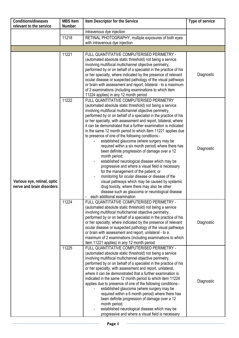| <b>Conditions/diseases</b>                               | <b>MBS Item</b> | Item Descriptor for the Service                                                                                                                                                                                                                                                                                                                                                                                                                                                                                                                                                                                                                                                                                                                                                                                                                                                                                                                                                                                                                           | Type of service |
|----------------------------------------------------------|-----------------|-----------------------------------------------------------------------------------------------------------------------------------------------------------------------------------------------------------------------------------------------------------------------------------------------------------------------------------------------------------------------------------------------------------------------------------------------------------------------------------------------------------------------------------------------------------------------------------------------------------------------------------------------------------------------------------------------------------------------------------------------------------------------------------------------------------------------------------------------------------------------------------------------------------------------------------------------------------------------------------------------------------------------------------------------------------|-----------------|
| relevant to the service                                  | Number          | intravenous dye injection                                                                                                                                                                                                                                                                                                                                                                                                                                                                                                                                                                                                                                                                                                                                                                                                                                                                                                                                                                                                                                 |                 |
|                                                          | 11218           | RETINAL PHOTOGRAPHY, multiple exposures of both eyes                                                                                                                                                                                                                                                                                                                                                                                                                                                                                                                                                                                                                                                                                                                                                                                                                                                                                                                                                                                                      |                 |
|                                                          |                 | with intravenous dye injection                                                                                                                                                                                                                                                                                                                                                                                                                                                                                                                                                                                                                                                                                                                                                                                                                                                                                                                                                                                                                            |                 |
|                                                          |                 |                                                                                                                                                                                                                                                                                                                                                                                                                                                                                                                                                                                                                                                                                                                                                                                                                                                                                                                                                                                                                                                           |                 |
|                                                          | 11221           | FULL QUANTITATIVE COMPUTERISED PERIMETRY -                                                                                                                                                                                                                                                                                                                                                                                                                                                                                                                                                                                                                                                                                                                                                                                                                                                                                                                                                                                                                |                 |
|                                                          |                 | (automated absolute static threshold) not being a service<br>involving multifocal multichannel objective perimetry,<br>performed by or on behalf of a specialist in the practice of his<br>or her specialty, where indicated by the presence of relevant                                                                                                                                                                                                                                                                                                                                                                                                                                                                                                                                                                                                                                                                                                                                                                                                  | Diagnostic      |
|                                                          |                 | ocular disease or suspected pathology of the visual pathways<br>or brain with assessment and report, bilateral - to a maximum<br>of 2 examinations (including examinations to which item<br>11224 applies) in any 12 month period                                                                                                                                                                                                                                                                                                                                                                                                                                                                                                                                                                                                                                                                                                                                                                                                                         |                 |
| Various eye, retinal, optic<br>nerve and brain disorders | 11222           | FULL QUANTITATIVE COMPUTERISED PERIMETRY<br>(automated absolute static threshold) not being a service<br>involving multifocal multichannel objective perimetry,<br>performed by or on behalf of a specialist in the practice of his<br>or her specialty, with assessment and report, bilateral, where<br>it can be demonstrated that a further examination is indicated<br>in the same 12 month period to which Item 11221 applies due<br>to presence of one of the following conditions:-<br>established glaucoma (where surgery may be<br>required within a six month period) where there has<br>been definite progression of damage over a 12<br>month period;<br>established neurological disease which may be<br>progressive and where a visual field is necessary<br>for the management of the patient; or<br>monitoring for ocular disease or disease of the<br>visual pathways which may be caused by systemic<br>drug toxicity, where there may also be other<br>disease such as glaucoma or neurological disease<br>each additional examination | Diagnostic      |
|                                                          | 11224           | FULL QUANTITATIVE COMPUTERISED PERIMETRY -<br>(automated absolute static threshold) not being a service<br>involving multifocal multichannel objective perimetry,<br>performed by or on behalf of a specialist in the practice of his<br>or her specialty, where indicated by the presence of relevant<br>ocular disease or suspected pathology of the visual pathways<br>or brain with assessment and report, unilateral - to a<br>maximum of 2 examinations (including examinations to which<br>item 11221 applies) in any 12 month period                                                                                                                                                                                                                                                                                                                                                                                                                                                                                                              | Diagnostic      |
|                                                          | 11225           | FULL QUANTITATIVE COMPUTERISED PERIMETRY -<br>(automated absolute static threshold) not being a service<br>involving multifocal multichannel objective perimetry,<br>performed by or on behalf of a specialist in the practice of his<br>or her specialty, with assessment and report, unilateral,<br>where it can be demonstrated that a further examination is<br>indicated in the same 12 month period to which item 11224<br>applies due to presence of one of the following conditions:-<br>established glaucoma (where surgery may be<br>required within a 6 month period) where there has<br>been definite progression of damage over a 12<br>month period;<br>established neurological disease which may be<br>progressive and where a visual field is necessary                                                                                                                                                                                                                                                                                  | Diagnostic      |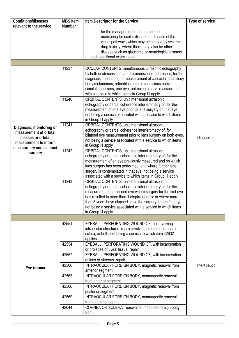| Conditions/diseases<br>relevant to the service                                                   | <b>MBS Item</b><br>Number | Item Descriptor for the Service                                                                                                                                                                                                                                                                                                                                                               | Type of service |
|--------------------------------------------------------------------------------------------------|---------------------------|-----------------------------------------------------------------------------------------------------------------------------------------------------------------------------------------------------------------------------------------------------------------------------------------------------------------------------------------------------------------------------------------------|-----------------|
|                                                                                                  |                           | for the management of the patient; or<br>monitoring for ocular disease or disease of the<br>visual pathways which may be caused by systemic<br>drug toxicity, where there may also be other<br>disease such as glaucoma or neurological disease<br>each additional examination                                                                                                                |                 |
|                                                                                                  |                           |                                                                                                                                                                                                                                                                                                                                                                                               |                 |
|                                                                                                  | 11237                     | OCULAR CONTENTS, simultaneous ultrasonic echography<br>by both unidimensional and bidimensional techniques, for the<br>diagnosis, monitoring or measurement of choroidal and ciliary<br>body melanomas, retinoblastoma or suspicious naevi or<br>simulating lesions, one eye, not being a service associated<br>with a service to which items in Group I1 apply                               |                 |
|                                                                                                  | 11240                     | ORBITAL CONTENTS, unidimensional ultrasonic<br>echography or partial coherence interferometry of, for the<br>measurement of one eye prior to lens surgery on that eye,<br>not being a service associated with a service to which items<br>in Group I1 apply                                                                                                                                   |                 |
| Diagnosis, monitoring or<br>measurement of orbital<br>masses or orbital<br>measurement to inform | 11241                     | ORBITAL CONTENTS, unidimensional ultrasonic<br>echography or partial coherence interferometry of, for<br>bilateral eye measurement prior to lens surgery on both eyes,<br>not being a service associated with a service to which items<br>in Group I1 apply                                                                                                                                   | Diagnostic      |
| lens surgery and cataract<br>surgery                                                             | 11242                     | ORBITAL CONTENTS, unidimensional ultrasonic<br>echography or partial coherence interferometry of, for the<br>measurement of an eye previously measured and on which<br>lens surgery has been performed, and where further lens<br>surgery is contemplated in that eye, not being a service<br>associated with a service to which items in Group I1 apply                                      |                 |
|                                                                                                  | 11243                     | ORBITAL CONTENTS, unidimensional ultrasonic<br>echography or partial coherence interferometry of, for the<br>measurement of a second eye where surgery for the first eye<br>has resulted in more than 1 dioptre of error or where more<br>than 3 years have elapsed since the surgery for the first eye,<br>not being a service associated with a service to which items<br>in Group I1 apply |                 |
|                                                                                                  |                           |                                                                                                                                                                                                                                                                                                                                                                                               |                 |
|                                                                                                  | 42551                     | EYEBALL, PERFORATING WOUND OF, not involving<br>intraocular structures repair involving suture of cornea or<br>sclera, or both, not being a service to which item 42632<br>applies                                                                                                                                                                                                            |                 |
|                                                                                                  | 42554                     | EYEBALL, PERFORATING WOUND OF, with incarceration<br>or prolapse of uveal tissue repair                                                                                                                                                                                                                                                                                                       |                 |
|                                                                                                  | 42557                     | EYEBALL, PERFORATING WOUND OF, with incarceration<br>of lens or vitreous repair                                                                                                                                                                                                                                                                                                               |                 |
| Eye trauma                                                                                       | 42560                     | INTRAOCULAR FOREIGN BODY, magnetic removal from<br>anterior segment                                                                                                                                                                                                                                                                                                                           | Therapeutic     |
|                                                                                                  | 42563                     | INTRAOCULAR FOREIGN BODY, nonmagnetic removal<br>from anterior segment                                                                                                                                                                                                                                                                                                                        |                 |
|                                                                                                  | 42566                     | INTRAOCULAR FOREIGN BODY, magnetic removal from<br>posterior segment                                                                                                                                                                                                                                                                                                                          |                 |
|                                                                                                  | 42569                     | INTRAOCULAR FOREIGN BODY, nonmagnetic removal<br>from posterior segment                                                                                                                                                                                                                                                                                                                       |                 |
|                                                                                                  | 42644                     | CORNEA OR SCLERA, removal of imbedded foreign body<br>from                                                                                                                                                                                                                                                                                                                                    |                 |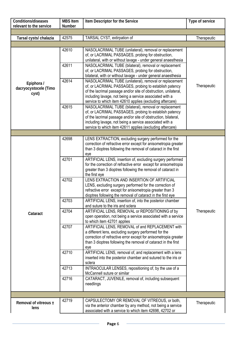| <b>Conditions/diseases</b><br>relevant to the service | <b>MBS Item</b><br><b>Number</b> | Item Descriptor for the Service                                                                                            | Type of service |
|-------------------------------------------------------|----------------------------------|----------------------------------------------------------------------------------------------------------------------------|-----------------|
|                                                       |                                  |                                                                                                                            |                 |
| Tarsal cysts/ chalazia                                | 42575                            | TARSAL CYST, extirpation of                                                                                                | Therapeutic     |
|                                                       |                                  |                                                                                                                            |                 |
|                                                       | 42610                            | NASOLACRIMAL TUBE (unilateral), removal or replacement                                                                     |                 |
|                                                       |                                  | of, or LACRIMAL PASSAGES, probing for obstruction,                                                                         |                 |
|                                                       |                                  | unilateral, with or without lavage - under general anaesthesia                                                             |                 |
|                                                       | 42611                            | NASOLACRIMAL TUBE (bilateral), removal or replacement                                                                      |                 |
|                                                       |                                  | of, or LACRIMAL PASSAGES, probing for obstruction,                                                                         |                 |
|                                                       |                                  | bilateral, with or without lavage - under general anaesthesia                                                              |                 |
| Epiphora /                                            | 42614                            | NASOLACRIMAL TUBE (unilateral), removal or replacement                                                                     |                 |
| dacryocystocele (Timo                                 |                                  | of, or LACRIMAL PASSAGES, probing to establish patency                                                                     | Therapeutic     |
| cyst)                                                 |                                  | of the lacrimal passage and/or site of obstruction, unilateral,<br>including lavage, not being a service associated with a |                 |
|                                                       |                                  | service to which item 42610 applies (excluding aftercare)                                                                  |                 |
|                                                       | 42615                            | NASOLACRIMAL TUBE (bilateral), removal or replacement                                                                      |                 |
|                                                       |                                  | of, or LACRIMAL PASSAGES, probing to establish patency                                                                     |                 |
|                                                       |                                  | of the lacrimal passage and/or site of obstruction, bilateral,                                                             |                 |
|                                                       |                                  | including lavage, not being a service associated with a                                                                    |                 |
|                                                       |                                  | service to which item 42611 applies (excluding aftercare)                                                                  |                 |
|                                                       |                                  |                                                                                                                            |                 |
|                                                       | 42698                            | LENS EXTRACTION, excluding surgery performed for the<br>correction of refractive error except for anisometropia greater    |                 |
|                                                       |                                  | than 3 dioptres following the removal of cataract in the first                                                             |                 |
|                                                       |                                  | eye                                                                                                                        |                 |
|                                                       | 42701                            | ARTIFICIAL LENS, insertion of, excluding surgery performed                                                                 |                 |
|                                                       |                                  | for the correction of refractive error except for anisometropia                                                            |                 |
|                                                       |                                  | greater than 3 dioptres following the removal of cataract in                                                               |                 |
|                                                       | 42702                            | the first eye<br>LENS EXTRACTION AND INSERTION OF ARTIFICIAL                                                               |                 |
|                                                       |                                  | LENS, excluding surgery performed for the correction of                                                                    |                 |
|                                                       |                                  | refractive error except for anisometropia greater than 3                                                                   |                 |
|                                                       |                                  | dioptres following the removal of cataract in the first eye                                                                |                 |
|                                                       | 42703                            | ARTIFICIAL LENS, insertion of, into the posterior chamber                                                                  |                 |
|                                                       |                                  | and suture to the iris and sclera                                                                                          |                 |
| Cataract                                              | 42704                            | ARTIFICIAL LENS, REMOVAL or REPOSITIONING of by                                                                            | Therapeutic     |
|                                                       |                                  | open operation, not being a service associated with a service<br>to which item 42701 applies                               |                 |
|                                                       | 42707                            | ARTIFICIAL LENS, REMOVAL of and REPLACEMENT with                                                                           |                 |
|                                                       |                                  | a different lens, excluding surgery performed for the                                                                      |                 |
|                                                       |                                  | correction of refractive error except for anisometropia greater                                                            |                 |
|                                                       |                                  | than 3 dioptres following the removal of cataract in the first                                                             |                 |
|                                                       |                                  | eye                                                                                                                        |                 |
|                                                       | 42710                            | ARTIFICIAL LENS, removal of, and replacement with a lens<br>inserted into the posterior chamber and sutured to the iris or |                 |
|                                                       |                                  | sclera                                                                                                                     |                 |
|                                                       | 42713                            | INTRAOCULAR LENSES, repositioning of, by the use of a                                                                      |                 |
|                                                       |                                  | McCannell suture or similar                                                                                                |                 |
|                                                       | 42716                            | CATARACT, JUVENILE, removal of, including subsequent                                                                       |                 |
|                                                       |                                  | needlings                                                                                                                  |                 |
|                                                       |                                  |                                                                                                                            |                 |
|                                                       | 42719                            | CAPSULECTOMY OR REMOVAL OF VITREOUS, or both,                                                                              |                 |
| Removal of vitreous ±                                 |                                  | via the anterior chamber by any method, not being a service                                                                | Therapeutic     |
| lens                                                  |                                  | associated with a service to which item 42698, 42702 or                                                                    |                 |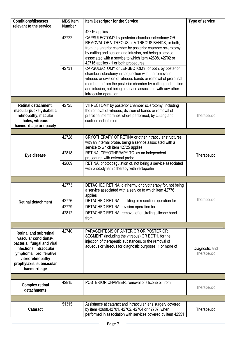| Conditions/diseases                                                                                                                                                                                                     | <b>MBS Item</b> | Item Descriptor for the Service                                                                                                                                                                                                                                                                                                                  | Type of service               |
|-------------------------------------------------------------------------------------------------------------------------------------------------------------------------------------------------------------------------|-----------------|--------------------------------------------------------------------------------------------------------------------------------------------------------------------------------------------------------------------------------------------------------------------------------------------------------------------------------------------------|-------------------------------|
| relevant to the service                                                                                                                                                                                                 | <b>Number</b>   |                                                                                                                                                                                                                                                                                                                                                  |                               |
|                                                                                                                                                                                                                         | 42722           | 42716 applies<br>CAPSULECTOMY by posterior chamber sclerotomy OR<br>REMOVAL OF VITREOUS or VITREOUS BANDS, or both,<br>from the anterior chamber by posterior chamber sclerotomy,<br>by cutting and suction and infusion, not being a service<br>associated with a service to which item 42698, 42702 or<br>42716 applies - 1 or both procedures |                               |
|                                                                                                                                                                                                                         | 42731           | CAPSULECTOMY or LENSECTOMY, or both, by posterior<br>chamber sclerotomy in conjunction with the removal of<br>vitreous or division of vitreous bands or removal of preretinal<br>membrane from the posterior chamber by cutting and suction<br>and infusion, not being a service associated with any other<br>intraocular operation              |                               |
|                                                                                                                                                                                                                         |                 |                                                                                                                                                                                                                                                                                                                                                  |                               |
| Retinal detachment,<br>macular pucker, diabetic<br>retinopathy, macular<br>holes, vitreous<br>haemorrhage or opacity                                                                                                    | 42725           | VITRECTOMY by posterior chamber sclerotomy including<br>the removal of vitreous, division of bands or removal of<br>preretinal membranes where performed, by cutting and<br>suction and infusion                                                                                                                                                 | Therapeutic                   |
|                                                                                                                                                                                                                         |                 |                                                                                                                                                                                                                                                                                                                                                  |                               |
|                                                                                                                                                                                                                         | 42728           | CRYOTHERAPY OF RETINA or other intraocular structures<br>with an internal probe, being a service associated with a<br>service to which item 42725 applies                                                                                                                                                                                        |                               |
| Eye disease                                                                                                                                                                                                             | 42818           | RETINA, CRYOTHERAPY TO, as an independent<br>procedure, with external probe                                                                                                                                                                                                                                                                      | Therapeutic                   |
|                                                                                                                                                                                                                         | 42809           | RETINA, photocoagulation of, not being a service associated<br>with photodynamic therapy with verteporfin                                                                                                                                                                                                                                        |                               |
|                                                                                                                                                                                                                         |                 |                                                                                                                                                                                                                                                                                                                                                  |                               |
|                                                                                                                                                                                                                         | 42773           | DETACHED RETINA, diathermy or cryotherapy for, not being<br>a service associated with a service to which item 42776<br>applies                                                                                                                                                                                                                   |                               |
| Retinal detachment                                                                                                                                                                                                      | 42776           | DETACHED RETINA, buckling or resection operation for                                                                                                                                                                                                                                                                                             | Therapeutic                   |
|                                                                                                                                                                                                                         | 42779           | DETACHED RETINA, revision operation for                                                                                                                                                                                                                                                                                                          |                               |
|                                                                                                                                                                                                                         | 42812           | DETACHED RETINA, removal of encircling silicone band<br>from                                                                                                                                                                                                                                                                                     |                               |
|                                                                                                                                                                                                                         |                 |                                                                                                                                                                                                                                                                                                                                                  |                               |
| <b>Retinal and subretinal</b><br>vascular conditions <sup>a</sup> ,<br>bacterial, fungal and viral<br>infections, intraocular<br>lymphoma, proliferative<br>vitreoretinopathy<br>prophylaxis, submacular<br>haemorrhage | 42740           | PARACENTESIS OF ANTERIOR OR POSTERIOR<br>SEGMENT (including the vitreous) OR BOTH, for the<br>injection of therapeutic substances, or the removal of<br>aqueous or vitreous for diagnostic purposes, 1 or more of                                                                                                                                | Diagnostic and<br>Therapeutic |
|                                                                                                                                                                                                                         |                 |                                                                                                                                                                                                                                                                                                                                                  |                               |
| Complex retinal<br>detachments                                                                                                                                                                                          | 42815           | POSTERIOR CHAMBER, removal of silicone oil from                                                                                                                                                                                                                                                                                                  | Therapeutic                   |
|                                                                                                                                                                                                                         |                 |                                                                                                                                                                                                                                                                                                                                                  |                               |
| Cataract                                                                                                                                                                                                                | 51315           | Assistance at cataract and intraocular lens surgery covered<br>by item 42698,42701, 42702, 42704 or 42707, when<br>performed in association with services covered by item 42551                                                                                                                                                                  | Therapeutic                   |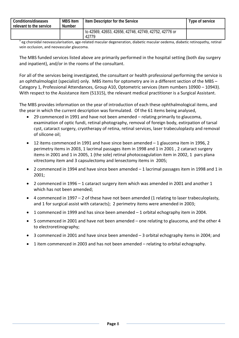| Conditions/diseases<br>relevant to the service | Item Descriptor for the Service<br><b>MBS Item</b><br>Number |                                                                | Type of service |
|------------------------------------------------|--------------------------------------------------------------|----------------------------------------------------------------|-----------------|
|                                                |                                                              | to 42569, 42653, 42656, 42746, 42749, 42752, 42776 or<br>42779 |                 |

a eg choroidal neovascularisation, age-related macular degeneration, diabetic macular oedema, diabetic retinopathy, retinal vein occlusion, and neovascular glaucoma.

The MBS funded services listed above are primarily performed in the hospital setting (both day surgery and inpatient), and/or in the rooms of the consultant.

For all of the services being investigated, the consultant or health professional performing the service is an ophthalmologist (specialist) only. MBS items for optometry are in a different section of the MBS -Category 1, Professional Attendances, Group A10, Optometric services (item numbers 10900 – 10943). With respect to the Assistance item (51315), the relevant medical practitioner is a Surgical Assistant.

The MBS provides information on the year of introduction of each these ophthalmological items, and the year in which the current description was formulated. Of the 61 items being analysed,

- 29 commenced in 1991 and have not been amended relating primarily to glaucoma, examination of optic fundi, retinal photography, removal of foreign body, extirpation of tarsal cyst, cataract surgery, cryotherapy of retina, retinal services, laser trabeculoplasty and removal of silicone oil;
- 12 items commenced in 1991 and have since been amended 1 glaucoma item in 1996, 2 perimetry items in 2003, 1 lacrimal passages item in 1998 and 1 in 2001 , 2 cataract surgery items in 2001 and 1 in 2005, 1 (the sole) retinal photocoagulation item in 2002, 1 pars plana vitrectomy item and 3 capsulectomy and lensectomy items in 2005;
- 2 commenced in 1994 and have since been amended 1 lacrimal passages item in 1998 and 1 in 2001;
- 2 commenced in 1996 1 cataract surgery item which was amended in 2001 and another 1 which has not been amended;
- 4 commenced in 1997 2 of these have not been amended (1 relating to laser trabeculoplasty, and 1 for surgical assist with cataracts); 2 perimetry items were amended in 2003;
- 1 commenced in 1999 and has since been amended 1 orbital echography item in 2004.
- 5 commenced in 2001 and have not been amended one relating to glaucoma, and the other 4 to electroretinography;
- 3 commenced in 2001 and have since been amended 3 orbital echography items in 2004; and
- 1 item commenced in 2003 and has not been amended relating to orbital echography.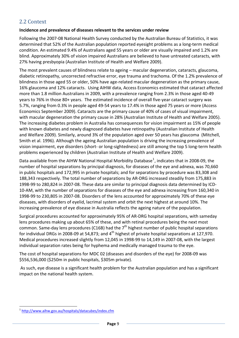# <span id="page-11-0"></span>2.2 Context

## **Incidence and prevalence of diseases relevant to the services under review**

Following the 2007‐08 National Health Survey conducted by the Australian Bureau of Statistics, it was determined that 52% of the Australian population reported eyesight problems as a long‐term medical condition. An estimated 9.4% of Australians aged 55 years or older are visually impaired and 1.2% are blind. Approximately 30% of vision impaired Australians are believed to have untreated cataracts, with 27% having presbyopia (Australian Institute of Health and Welfare 2009).

The most prevalent causes of blindness relate to ageing – macular degeneration, cataracts, glaucoma, diabetic retinopathy, uncorrected refractive error, eye trauma and trachoma. Of the 1.2% prevalence of blindness in those aged 55 or older, 50% have age-related macular degeneration as the primary cause, 16% glaucoma and 12% cataracts. Using AIHW data, Access Economics estimated that cataract affected more than 1.8 million Australians in 2009, with a prevalence ranging from 2.3% in those aged 40‐49 years to 76% in those 80+ years. The estimated incidence of overall five-year cataract surgery was 5.7%, ranging from 0.3% in people aged 49‐54 years to 17.4% in those aged 75 years or more (Access Economics September 2009). Cataracts are the primary cause of 40% of cases of visual impairment, with macular degeneration the primary cause in 28% (Australian Institute of Health and Welfare 2005). The increasing diabetes problem in Australia has consequences for vision impairment as 15% of people with known diabetes and newly diagnosed diabetes have retinopathy (Australian Institute of Health and Welfare 2009). Similarly, around 3% of the population aged over 50 years has glaucoma (Mitchell, Smith et al. 1996). Although the ageing Australian population is driving the increasing prevalence of vision impairment, eye disorders (short‐ or long‐sightedness) are still among the top 5 long‐term health problems experienced by children (Australian Institute of Health and Welfare 2009).

Data available from the AIHW National Hospital Morbidity Database<sup>[1](#page-11-0)</sup>, indicates that in 2008-09, the number of hospital separations by principal diagnosis, for diseases of the eye and adnexa, was 70,660 in public hospitals and 172,995 in private hospitals; and for separations by procedure was 83,308 and 188,343 respectively. The total number of separations by AR‐DRG increased steadily from 175,883 in 1998‐99 to 280,824 in 2007‐08. These data are similar to principal diagnosis data determined by ICD‐ 10‐AM, with the number of separations for diseases of the eye and adnexa increasing from 160,340 in 1998‐99 to 230,805 in 2007‐08. Disorders of the lens accounted for approximately 70% of these eye diseases, with disorders of eyelid, lacrimal system and orbit the next highest at around 10%. The increasing prevalence of eye disease in Australia reflects the ageing nature of the population.

Surgical procedures accounted for approximately 95% of AR‐DRG hospital separations, with sameday lens procedures making up about 65% of these, and with retinal procedures being the next most common. Same-day lens procedures (C16B) had the  $7<sup>th</sup>$  highest number of public hospital separations for individual DRGs in 2008-09 at 54,873; and  $4<sup>th</sup>$  highest of private hospital separations at 127,970. Medical procedures increased slightly from 12,045 in 1998‐99 to 14,149 in 2007‐08, with the largest individual separation rates being for hyphema and medically managed trauma to the eye.

The cost of hospital separations for MDC 02 (diseases and disorders of the eye) for 2008‐09 was \$556,536,000 (\$250m in public hospitals, \$305m private).

As such, eye disease is a significant health problem for the Australian population and has a significant impact on the national health system.

 $\overline{a}$ 

<sup>1</sup> <http://www.aihw.gov.au/hospitals/datacubes/index.cfm>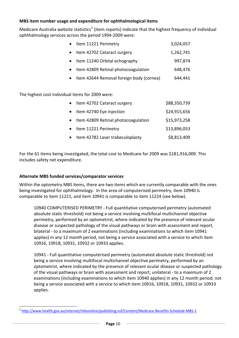## <span id="page-12-0"></span>**MBS item number usage and expenditure for ophthalmological items**

Medicare Australia website statistics<sup>[2](#page-12-0)</sup> (item reports) indicate that the highest frequency of individual ophthalmology services across the period 1994‐2009 were:

| Item 11221 Perimetry                     | 3,024,057 |
|------------------------------------------|-----------|
| Item 42702 Cataract surgery              | 1,262,741 |
| Item 11240 Orbital echography            | 997,874   |
| Item 42809 Retinal photocoagulation      | 648,476   |
| Item 42644 Removal foreign body (cornea) | 644,441   |
|                                          |           |

The highest cost individual items for 2009 were:

| Item 42702 Cataract surgery           | \$88,350,739 |
|---------------------------------------|--------------|
| • Item 42740 Eye injection            | \$24,915,656 |
| • Item 42809 Retinal photocoagulation | \$15,973,258 |
| • Item 11221 Perimetry                | \$13,896,053 |
| • Item 42782 Laser trabeculoplasty    | \$8,813,409  |

For the 61 items being investigated, the total cost to Medicare for 2009 was \$181,916,009. This includes safety net expenditure.

## **Alternate MBS funded services/comparator services**

 $\overline{a}$ 

Within the optometry MBS items, there are two items which are currently comparable with the ones being investigated for ophthalmology. In the area of computerised perimetry, item 10940 is comparable to item 11221, and item 10941 is comparable to item 11224 (see below).

10940 COMPUTERISED PERIMETRY ‐ Full quantitative computerised perimetry (automated absolute static threshold) not being a service involving multifocal multichannel objective perimetry, performed by an optometrist, where indicated by the presence of relevant ocular disease or suspected pathology of the visual pathways or brain with assessment and report, bilateral ‐ to a maximum of 2 examinations (including examinations to which item 10941 applies) in any 12 month period, not being a service associated with a service to which item 10916, 10918, 10931, 10932 or 10933 applies.

10941 ‐ Full quantitative computerised perimetry (automated absolute static threshold) not being a service involving multifocal multichannel objective perimetry, performed by an optometrist, where indicated by the presence of relevant ocular disease or suspected pathology of the visual pathways or brain with assessment and report, unilateral ‐ to a maximum of 2 examinations (including examinations to which item 10940 applies) in any 12 month period, not being a service associated with a service to which item 10916, 10918, 10931, 10932 or 10933 applies.

<sup>&</sup>lt;sup>2</sup> [http://www.health.gov.au/internet/mbsonline/publishing.nsf/Content/Medicare](http://www.health.gov.au/internet/mbsonline/publishing.nsf/Content/Medicare-Benefits-Schedule-MBS-1)-Benefits-Schedule-MBS-1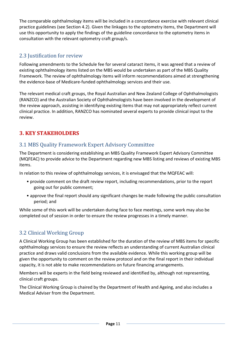The comparable ophthalmology items will be included in a concordance exercise with relevant clinical practice guidelines (see Section 4.2). Given the linkages to the optometry items, the Department will use this opportunity to apply the findings of the guideline concordance to the optometry items in consultation with the relevant optometry craft group/s.

# 2.3 Justification for review

Following amendments to the Schedule fee for several cataract items, it was agreed that a review of existing ophthalmology items listed on the MBS would be undertaken as part of the MBS Quality Framework. The review of ophthalmology items will inform recommendations aimed at strengthening the evidence‐base of Medicare‐funded ophthalmology services and their use.

The relevant medical craft groups, the Royal Australian and New Zealand College of Ophthalmologists (RANZCO) and the Australian Society of Ophthalmologists have been involved in the development of the review approach, assisting in identifying existing items that may not appropriately reflect current clinical practice. In addition, RANZCO has nominated several experts to provide clinical input to the review.

# **3. KEY STAKEHOLDERS**

# 3.1 MBS Quality Framework Expert Advisory Committee

The Department is considering establishing an MBS Quality Framework Expert Advisory Committee (MQFEAC) to provide advice to the Department regarding new MBS listing and reviews of existing MBS items.

In relation to this review of ophthalmology services, it is envisaged that the MQFEAC will:

- provide comment on the draft review report, including recommendations, prior to the report going out for public comment;
- approve the final report should any significant changes be made following the public consultation period; and

While some of this work will be undertaken during face to face meetings, some work may also be completed out of session in order to ensure the review progresses in a timely manner.

# 3.2 Clinical Working Group

A Clinical Working Group has been established for the duration of the review of MBS items for specific ophthalmology services to ensure the review reflects an understanding of current Australian clinical practice and draws valid conclusions from the available evidence. While this working group will be given the opportunity to comment on the review protocol and on the final report in their individual capacity, it is not able to make recommendations on future financing arrangements.

Members will be experts in the field being reviewed and identified by, although not representing, clinical craft groups.

The Clinical Working Group is chaired by the Department of Health and Ageing, and also includes a Medical Adviser from the Department.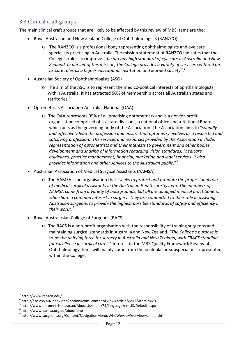# <span id="page-14-0"></span>3.3 Clinical craft groups

The main clinical craft groups that are likely to be affected by this review of MBS items are the:

- Royal Australian and New Zealand College of Ophthalmologists (RANZCO)
	- o The RANZCO is a professional body representing ophthalmologists and eye care specialists practicing in Australia. The mission statement of RANZCO indicates that the College's role is to improve *"the already high standard of eye care in Australia and New Zealand. In pursuit of this mission, the College provides a variety of services centered on its core roles as a higher educational institution and learned society"*. [3](#page-14-0)
- Australian Society of Ophthalmologists (ASO)
	- o The aim of the ASO is to represent the medico‐political interests of ophthalmologists within Australia. It has attracted 50% of membership across all Australian states and territories.<sup>[4](#page-14-0)</sup>
- Optometrists Association Australia, National (OAA)
	- o The OAA represents 95% of all practising optometrists and is a not‐for‐profit organisation comprised of six state divisions, a national office and a National Board which acts as the governing body of the Association. The Association aims to "*soundly and effectively lead the profession and ensure that optometry evolves as a respected and satisfying profession. The services and resources provided by the Association include: representation of optometrists and their interests to government and other bodies, development and sharing of information regarding vision standards, Medicare guidelines, practice management, financial, marketing and legal services. It also provides information and other services to the Australian public.*"[5](#page-14-0)
- Australian Association of Medical Surgical Assistants (AAMSA)
	- o The AAMSA is an organisation that *"seeks to protect and promote the professional role of medical surgical assistants in the Australian Healthcare System. The members of AAMSA come from a variety of backgrounds, but all are qualified medical practitioners, who share a common interest in surgery. They are committed to their role in assisting Australian surgeons to provide the highest possible standards of safety and efficiency in their work"*. [6](#page-14-0)
- Royal Australasian College of Surgeons (RACS)
	- o The RACS is a non‐profit organisation with the responsibility of training surgeons and maintaining surgical standards in Australia and New Zealand. *"The College's purpose is to be the unifying force for surgery in Australia and New Zealand, with FRACS standing for excellence in surgical care"*. [7](#page-14-0) Interest in the MBS Quality Framework Review of Ophthalmology items will mainly come from the oculoplastic subspecialties represented within the College.

 $\overline{a}$ 

<sup>3</sup> http://www.ranzco.edu/

<sup>4</sup> http://aso.asn.au/index.php?option=com\_content&view=article&id=2&Itemid=20

<sup>5</sup> http://www.optometrists.asn.au/AboutUs/tabid/74/language/en‐US/Default.aspx <sup>6</sup> http://www.aamsa.org.au/about.php

 $7$  http://www.surgeons.org/Content/NavigationMenu/WhoWeAre/Overview/default.htm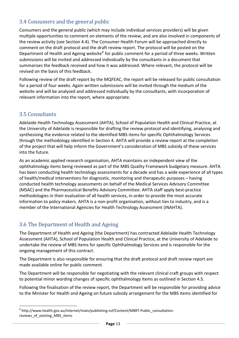# <span id="page-15-0"></span>3.4 Consumers and the general public

Consumers and the general public (which may include individual services providers) will be given multiple opportunities to comment on elements of the review, and are also involved in components of the review activity (see Section 4.4). The Consumer Health Forum will be approached directly to comment on the draft protocol and the draft review report. The protocol will be posted on the Department of Health and Ageing website<sup>[8](#page-15-0)</sup> for public comment for a period of three weeks. Written submissions will be invited and addressed individually by the consultants in a document that summarises the feedback received and how it was addressed. Where relevant, the protocol will be revised on the basis of this feedback.

Following review of the draft report by the MQFEAC, the report will be released for public consultation for a period of four weeks. Again written submissions will be invited through the medium of the website and will be analysed and addressed individually by the consultants, with incorporation of relevant information into the report, where appropriate.

# 3.5 Consultants

 $\overline{a}$ 

Adelaide Health Technology Assessment (AHTA), School of Population Health and Clinical Practice, at the University of Adelaide is responsible for drafting the review protocol and identifying, analysing and synthesising the evidence related to the identified MBS items for specific Ophthalmology Services through the methodology identified in Section 4. AHTA will provide a review report at the completion of the project that will help inform the Government's consideration of MBS subsidy of these services into the future.

As an academic applied research organisation, AHTA maintains an independent view of the ophthalmology items being reviewed as part of the MBS Quality Framework budgetary measure. AHTA has been conducting health technology assessments for a decade and has a wide experience of all types of health/medical interventions for diagnostic, monitoring and therapeutic purposes – having conducted health technology assessments on behalf of the Medical Services Advisory Committee (MSAC) and the Pharmaceutical Benefits Advisory Committee. AHTA staff apply best‐practice methodologies in their evaluation of all health services, in order to provide the most accurate information to policy makers. AHTA is a non-profit organisation, without ties to industry, and is a member of the International Agencies for Health Technology Assessment (INAHTA).

# 3.6 The Department of Health and Ageing

The Department of Health and Ageing (the Department) has contracted Adelaide Health Technology Assessment (AHTA), School of Population Health and Clinical Practice, at the University of Adelaide to undertake the review of MBS items for specific Ophthalmology Services and is responsible for the ongoing management of this contract.

The Department is also responsible for ensuring that the draft protocol and draft review report are made available online for public comment.

The Department will be responsible for negotiating with the relevant clinical craft groups with respect to potential minor wording changes of specific ophthalmology items as outlined in Section 4.5.

Following the finalisation of the review report, the Department will be responsible for providing advice to the Minister for Health and Ageing on future subsidy arrangement for the MBS items identified for

<sup>8</sup> http://www.health.gov.au/internet/main/publishing.nsf/Content/MBRT‐Public\_consultation‐ reviews of existing MBS items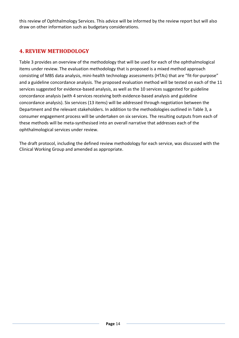this review of Ophthalmology Services. This advice will be informed by the review report but will also draw on other information such as budgetary considerations.

# **4. REVIEW METHODOLOGY**

[Table](#page-17-0) [3](#page-17-0) provides an overview of the methodology that will be used for each of the ophthalmological items under review. The evaluation methodology that is proposed is a mixed method approach consisting of MBS data analysis, mini‐health technology assessments (HTAs) that are "fit‐for‐purpose" and a guideline concordance analysis. The proposed evaluation method will be tested on each of the 11 services suggested for evidence‐based analysis, as well as the 10 services suggested for guideline concordance analysis (with 4 services receiving both evidence‐based analysis and guideline concordance analysis). Six services (13 items) will be addressed through negotiation between the Department and the relevant stakeholders. In addition to the methodologies outlined in [Table](#page-17-0) [3](#page-17-0), a consumer engagement process will be undertaken on six services. The resulting outputs from each of these methods will be meta‐synthesised into an overall narrative that addresses each of the ophthalmological services under review.

The draft protocol, including the defined review methodology for each service, was discussed with the Clinical Working Group and amended as appropriate.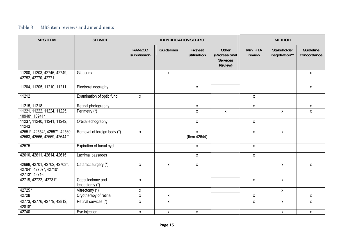## Table 3 MBS item reviews and amendments

<span id="page-17-0"></span>

| <b>MBS ITEM</b>                                                          | <b>SERVICE</b>                     |                             |                   | <b>IDENTIFICATION SOURCE</b> |                                                      |                    | <b>METHOD</b>                |                          |
|--------------------------------------------------------------------------|------------------------------------|-----------------------------|-------------------|------------------------------|------------------------------------------------------|--------------------|------------------------------|--------------------------|
|                                                                          |                                    | <b>RANZCO</b><br>submission | <b>Guidelines</b> | Highest<br>utilisation       | Other<br>(Professional<br><b>Services</b><br>Review) | Mini HTA<br>review | Stakeholder<br>negotiation** | Guideline<br>concordance |
| 11200, 11203, 42746, 42749,<br>42752, 42770, 42771                       | Glaucoma                           |                             | $\mathsf{X}$      |                              |                                                      |                    |                              | $\mathsf{X}$             |
| 11204, 11205, 11210, 11211                                               | Electroretinography                |                             |                   | $\boldsymbol{\mathsf{X}}$    |                                                      |                    |                              | $\mathsf{X}$             |
| 11212                                                                    | Examination of optic fundi         | $\mathsf{X}$                |                   |                              |                                                      | $\mathsf{x}$       |                              |                          |
| 11215, 11218                                                             | Retinal photography                |                             |                   | X                            |                                                      | $\mathsf{X}$       |                              | $\mathsf{X}$             |
| 11221, 11222, 11224, 11225,<br>10940*, 10941*                            | Perimetry (*)                      |                             |                   | X                            | X                                                    |                    | X                            | $\pmb{\mathsf{X}}$       |
| 11237, 11240, 11241, 11242,<br>11243                                     | Orbital echography                 |                             |                   | $\boldsymbol{\mathsf{X}}$    |                                                      | $\pmb{\mathsf{X}}$ |                              |                          |
| 42551*, 42554*, 42557*, 42560,<br>42563, 42566, 42569, 42644 *           | Removal of foreign body (*)        | $\mathsf{X}$                |                   | $\mathsf{X}$<br>(Item 42644) |                                                      | $\mathsf{X}$       | $\mathsf{X}$                 |                          |
| 42575                                                                    | Expiration of tarsal cyst          |                             |                   | $\boldsymbol{\mathsf{X}}$    |                                                      | $\pmb{\mathsf{X}}$ |                              |                          |
| 42610, 42611, 42614, 42615                                               | Lacrimal passages                  |                             |                   | X                            |                                                      | $\pmb{\mathsf{X}}$ |                              |                          |
| 42698, 42701, 42702, 42703*,<br>42704*, 42707*, 42710*,<br>42713*, 42716 | Cataract surgery (*)               | X                           | X                 | $\mathsf{X}$                 |                                                      |                    | X                            | X                        |
| 42719, 42722, 42731*                                                     | Capsulectomy and<br>lensectomy (*) | $\mathsf{X}$                |                   |                              |                                                      | $\mathsf{X}$       | $\mathsf{X}$                 |                          |
| $42725*$                                                                 | Vitrectomy (*)                     | $\pmb{\chi}$                |                   |                              |                                                      |                    | $\mathsf{X}$                 |                          |
| 42728                                                                    | Cryotherapy of retina              | $\pmb{\mathsf{X}}$          | X                 |                              |                                                      | $\pmb{\mathsf{X}}$ |                              | $\mathsf{X}$             |
| 42773, 42776, 42779, 42812,<br>42818*                                    | Retinal services (*)               | $\mathsf{X}$                | X                 |                              |                                                      | $\mathsf X$        | $\pmb{\mathsf{X}}$           | $\mathsf{X}$             |
| 42740                                                                    | Eye injection                      | X                           | X                 | X                            |                                                      |                    | $\pmb{\chi}$                 | $\pmb{\mathsf{X}}$       |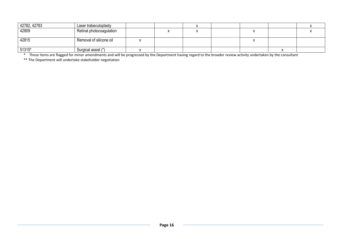| 42782, 42783 | Laser trabeculoplasty    |  |  |  |  |
|--------------|--------------------------|--|--|--|--|
| 42809        | Retinal photocoagulation |  |  |  |  |
|              |                          |  |  |  |  |
| 42815        | Removal of silicone oil  |  |  |  |  |
|              |                          |  |  |  |  |
| $51315*$     | Surgical assist (*)      |  |  |  |  |

51315\* Surgical assist (\*) The Surgical assist (\*) Network States University of States Universe States Univers<br>These items are flagged for minor amendments and will be progressed by the Department having regard to the broa These items are flagged for minor amendments and will be progressed by the Department having regard to the broader review activity undertaken by the consultant \* The Department will undertake stakeholder negotiation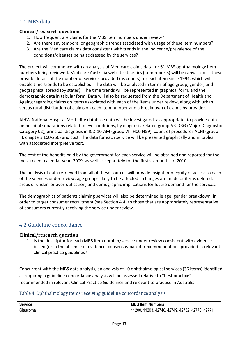# 4.1 MBS data

## **Clinical/research questions**

- 1. How frequent are claims for the MBS item numbers under review?
- 2. Are there any temporal or geographic trends associated with usage of these item numbers?
- 3. Are the Medicare claims data consistent with trends in the indicence/prevalence of the conditions/diseases being addressed by the services?

The project will commence with an analysis of Medicare claims data for 61 MBS ophthalmology item numbers being reviewed. Medicare Australia website statistics (item reports) will be canvassed as these provide details of the number of services provided (as counts) for each item since 1994, which will enable time-trends to be established. The data will be analysed in terms of age group, gender, and geographical spread (by states). The time trends will be represented in graphical form, and the demographic data in tabular form. Data will also be requested from the Department of Health and Ageing regarding claims on items associated with each of the items under review, along with urban versus rural distribution of claims on each item number and a breakdown of claims by provider.

AIHW National Hospital Morbidity database data will be investigated, as appropriate, to provide data on hospital separations related to eye conditions, by diagnosis‐related group AR‐DRG (Major Diagnostic Category 02), principal diagnosis in ICD‐10‐AM (group VII, H00‐H59), count of procedures ACHI (group III, chapters 160‐256) and cost. The data for each service will be presented graphically and in tables with associated interpretive text.

The cost of the benefits paid by the government for each service will be obtained and reported for the most recent calendar year, 2009, as well as separately for the first six months of 2010.

The analysis of data retrieved from all of these sources will provide insight into equity of access to each of the services under review, age groups likely to be affected if changes are made or items deleted, areas of under‐ or over‐utilisation, and demographic implications for future demand for the services.

The demographics of patients claiming services will also be determined ie age, gender breakdown, in order to target consumer recruitment (see Section 4.4) to those that are appropriately representative of consumers currently receiving the service under review.

# 4.2 Guideline concordance

## **Clinical/research question**

1. Is the descriptor for each MBS item number/service under review consistent with evidencebased (or in the absence of evidence, consensus‐based) recommendations provided in relevant clinical practice guidelines?

Concurrent with the MBS data analysis, an analysis of 10 ophthalmological services (36 items) identified as requiring a guideline concordance analysis will be assessed relative to "best practice" as recommended in relevant Clinical Practice Guidelines and relevant to practice in Australia.

## Table 4 Ophthalmology items receiving guideline concordance analysis

| <b>Service</b> | <b>MBS Item Numbers</b>                              |
|----------------|------------------------------------------------------|
| Glaucoma       | , 11203, 42746, 42749, 42752, 42770, 42771<br>11200. |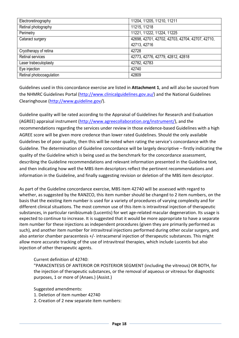| Electroretinography      | 11204, 11205, 11210, 11211                       |
|--------------------------|--------------------------------------------------|
| Retinal photography      | 11215, 11218                                     |
| Perimetry                | 11221, 11222, 11224, 11225                       |
| Cataract surgery         | 42698, 42701, 42702, 42703, 42704, 42707, 42710, |
|                          | 42713, 42716                                     |
| Cryotherapy of retina    | 42728                                            |
| <b>Retinal services</b>  | 42773, 42776, 42779, 42812, 42818                |
| Laser trabeculoplasty    | 42782, 42783                                     |
| Eye injection            | 42740                                            |
| Retinal photocoagulation | 42809                                            |

Guidelines used in this concordance exercise are listed in **Attachment 1**, and will also be sourced from the NHMRC Guidelines Portal ([http://www.clinicalguidelines.gov.au/\)](http://www.clinicalguidelines.gov.au/) and the National Guidelines Clearinghouse (<http://www.guideline.gov/>).

Guideline quality will be rated according to the Appraisal of Guidelines for Research and Evaluation (AGREE) appraisal instrument [\(http://www.agreecollaboration.org/instrument/](http://www.agreecollaboration.org/instrument/)), and the recommendations regarding the services under review in those evidence-based Guidelines with a high AGREE score will be given more credence than lower rated Guidelines. Should the only available Guidelines be of poor quality, then this will be noted when rating the service's concordance with the Guideline. The determination of Guideline concordance will be largely descriptive – firstly indicating the quality of the Guideline which is being used as the benchmark for the concordance assessment, describing the Guideline recommendations and relevant information presented in the Guideline text, and then indicating how well the MBS item descriptors reflect the pertinent recommendations and information in the Guideline, and finally suggesting revision or deletion of the MBS item descriptor.

As part of the Guideline concordance exercise, MBS item 42740 will be assessed with regard to whether, as suggested by the RANZCO, this item number should be changed to 2 item numbers, on the basis that the existing item number is used for a variety of procedures of varying complexity and for different clinical situations. The most common use of this item is intravitreal injection of therapeutic substances, in particular ranibizumab (Lucentis) for wet age-related macular degeneration. Its usage is expected to continue to increase. It is suggested that it would be more appropriate to have a separate item number for these injections as independent procedures (given they are primarily performed as such), and another item number for intravitreal injections performed during other ocular surgery, and also anterior chamber paracentesis +/‐ intracameral injection of therapeutic substances. This might allow more accurate tracking of the use of intravitreal therapies, which include Lucentis but also injection of other therapeutic agents.

## Current definition of 42740:

"PARACENTESIS OF ANTERIOR OR POSTERIOR SEGMENT (including the vitreous) OR BOTH, for the injection of therapeutic substances, or the removal of aqueous or vitreous for diagnostic purposes, 1 or more of (Anaes.) (Assist.)

Suggested amendments:

- 1. Deletion of item number 42740
- 2. Creation of 2 new separate item numbers: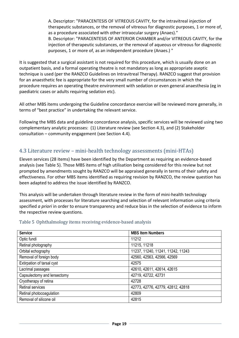A. Descriptor: "PARACENTESIS OF VITREOUS CAVITY, for the intravitreal injection of therapeutic substances, or the removal of vitreous for diagnostic purposes, 1 or more of, as a procedure associated with other intraocular surgery (Anaes)."

B. Descriptor: "PARACENTESIS OF ANTERIOR CHAMBER and/or VITREOUS CAVITY, for the injection of therapeutic substances, or the removal of aqueous or vitreous for diagnostic purposes, 1 or more of, as an independent procedure (Anaes.) "

It is suggested that a surgical assistant is not required for this procedure, which is usually done on an outpatient basis, and a formal operating theatre is not mandatory as long as appropriate aseptic technique is used (per the RANZCO Guidelines on Intravitreal Therapy). RANZCO suggest that provision for an anaesthetic fee is appropriate for the very small number of circumstances in which the procedure requires an operating theatre environment with sedation or even general anaesthesia (eg in paediatric cases or adults requiring sedation etc).

All other MBS items undergoing the Guideline concordance exercise will be reviewed more generally, in terms of "best practice" in undertaking the relevant service.

Following the MBS data and guideline concordance analysis, specific services will be reviewed using two complementary analytic processes: (1) Literature review (see Section 4.3), and (2) Stakeholder consultation – community engagement (see Section 4.4).

# 4.3 Literature review – mini‐health technology assessments (mini‐HTAs)

Eleven services (28 items) have been identified by the Department as requiring an evidence‐based analysis (see [Table](#page-21-0) 5). Those MBS items of high utilisation being considered for this review but not prompted by amendments sought by RANZCO will be appraised generally in terms of their safety and effectiveness. For other MBS items identified as requiring revision by RANZCO, the review question has been adapted to address the issue identified by RANZCO.

This analysis will be undertaken through literature review in the form of mini‐health technology assessment, with processes for literature searching and selection of relevant information using criteria specified *a priori* in order to ensure transparency and reduce bias in the selection of evidence to inform the respective review questions.

## Table 5 Ophthalmology items receiving evidence‐based analysis

<span id="page-21-0"></span>

| <b>Service</b>              | <b>MBS Item Numbers</b>           |
|-----------------------------|-----------------------------------|
| Optic fundi                 | 11212                             |
| Retinal photography         | 11215, 11218                      |
| Orbital echography          | 11237, 11240, 11241, 11242, 11243 |
| Removal of foreign body     | 42560, 42563, 42566, 42569        |
| Extirpation of tarsal cyst  | 42575                             |
| Lacrimal passages           | 42610, 42611, 42614, 42615        |
| Capsulectomy and lensectomy | 42719, 42722, 42731               |
| Cryotherapy of retina       | 42728                             |
| <b>Retinal services</b>     | 42773, 42776, 42779, 42812, 42818 |
| Retinal photocoagulation    | 42809                             |
| Removal of silicone oil     | 42815                             |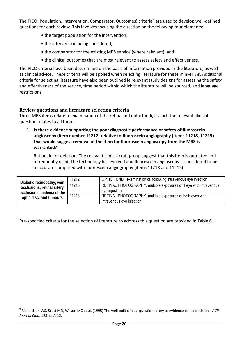<span id="page-22-0"></span>The PICO (Population, Intervention, Comparator, Outcomes) criteria<sup>[9](#page-22-0)</sup> are used to develop well-defined questions for each review. This involves focusing the question on the following four elements:

- the target population for the intervention;
- the intervention being considered;
- the comparator for the existing MBS service (where relevant); and
- the clinical outcomes that are most relevant to assess safety and effectiveness.

The PICO criteria have been determined on the basis of information provided in the literature, as well as clinical advice. These criteria will be applied when selecting literature for these mini‐HTAs. Additional criteria for selecting literature have also been outlined ie relevant study designs for assessing the safety and effectiveness of the service, time period within which the literature will be sourced, and language restrictions.

## **Review questions and literature selection criteria**

 $\overline{a}$ 

Three MBS items relate to examination of the retina and optic fundi, as such the relevant clinical question relates to all three.

**1. Is there evidence supporting the poor diagnostic performance or safety of fluoroscein angioscopy (item number 11212) relative to fluoroscein angiography (items 11218, 11215) that would suggest removal of the item for fluoroscein angioscopy from the MBS is warranted?**

Rationale for deletion: The relevant clinical craft group suggest that this item is outdated and infrequently used. The technology has evolved and fluorescein angioscopy is considered to be inaccurate compared with fluorescein angiography (items 11218 and 11215).

| Diabetic retinopathy, vein                           | 11212 | OPTIC FUNDI, examination of, following intravenous dye injection  |
|------------------------------------------------------|-------|-------------------------------------------------------------------|
| occlusions, retinal artery                           | 11215 | RETINAL PHOTOGRAPHY, multiple exposures of 1 eye with intravenous |
| occlusions, oedema of the<br>optic disc, and tumours |       | dye injection                                                     |
|                                                      | 11218 | RETINAL PHOTOGRAPHY, multiple exposures of both eyes with         |
|                                                      |       | intravenous dye injection                                         |

Pre‐specified criteria for the selection of literature to address this question are provided in Table 6..

<sup>9</sup> Richardson WS, Scott MD, Wilson MC et al. (1995) The well built clinical question: a key to evidence based decisions. *ACP Journal Club*, 123, ppA‐12.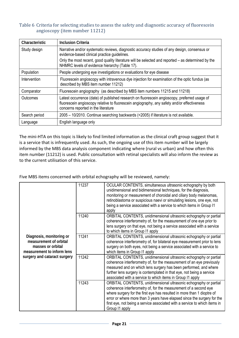#### Table 6 Criteria for selecting studies to assess the safety and diagnostic accuracy of fluorescein angioscopy (item number 11212)

| <b>Characteristic</b> | <b>Inclusion Criteria</b>                                                                                                                                                                                                          |  |
|-----------------------|------------------------------------------------------------------------------------------------------------------------------------------------------------------------------------------------------------------------------------|--|
| Study design          | Narrative and/or systematic reviews, diagnostic accuracy studies of any design, consensus or<br>evidence-based clinical practice guidelines.                                                                                       |  |
|                       | Only the most recent, good quality literature will be selected and reported – as determined by the<br>NHMRC levels of evidence hierarchy (Table 17).                                                                               |  |
| Population            | People undergoing eye investigations or evaluations for eye disease                                                                                                                                                                |  |
| Intervention          | Fluorescein angioscopy with intravenous dye injection for examination of the optic fundus (as<br>described by MBS item number 11212)                                                                                               |  |
| Comparator            | Fluorescein angiography (as described by MBS item numbers 11215 and 11218)                                                                                                                                                         |  |
| Outcomes              | Latest occurrence (date) of published research on fluorescein angioscopy, preferred usage of<br>fluorescein angioscopy relative to fluorescein angiography, any safety and/or effectiveness<br>concerns reported in the literature |  |
| Search period         | 2005 – 10/2010. Continue searching backwards (<2005) if literature is not available.                                                                                                                                               |  |
| Language              | English language only                                                                                                                                                                                                              |  |

The mini‐HTA on this topic is likely to find limited information as the clinical craft group suggest that it is a service that is infrequently used. As such, the ongoing use of this item number will be largely informed by the MBS data analysis component indicating where (rural vs urban) and how often this item number (11212) is used. Public consultation with retinal specialists will also inform the review as to the current utilisation of this service.

Five MBS items concerned with orbital echography will be reviewed, namely:

| Diagnosis, monitoring or<br>measurement of orbital<br>masses or orbital<br>measurement to inform lens<br>surgery and cataract surgery | 11237 | OCULAR CONTENTS, simultaneous ultrasonic echography by both<br>unidimensional and bidimensional techniques, for the diagnosis,<br>monitoring or measurement of choroidal and ciliary body melanomas,<br>retinoblastoma or suspicious naevi or simulating lesions, one eye, not<br>being a service associated with a service to which items in Group I1<br>apply                            |
|---------------------------------------------------------------------------------------------------------------------------------------|-------|--------------------------------------------------------------------------------------------------------------------------------------------------------------------------------------------------------------------------------------------------------------------------------------------------------------------------------------------------------------------------------------------|
|                                                                                                                                       | 11240 | ORBITAL CONTENTS, unidimensional ultrasonic echography or partial<br>coherence interferometry of, for the measurement of one eye prior to<br>lens surgery on that eye, not being a service associated with a service<br>to which items in Group I1 apply                                                                                                                                   |
|                                                                                                                                       | 11241 | ORBITAL CONTENTS, unidimensional ultrasonic echography or partial<br>coherence interferometry of, for bilateral eye measurement prior to lens<br>surgery on both eyes, not being a service associated with a service to<br>which items in Group I1 apply                                                                                                                                   |
|                                                                                                                                       | 11242 | ORBITAL CONTENTS, unidimensional ultrasonic echography or partial<br>coherence interferometry of, for the measurement of an eye previously<br>measured and on which lens surgery has been performed, and where<br>further lens surgery is contemplated in that eye, not being a service<br>associated with a service to which items in Group I1 apply                                      |
|                                                                                                                                       | 11243 | ORBITAL CONTENTS, unidimensional ultrasonic echography or partial<br>coherence interferometry of, for the measurement of a second eye<br>where surgery for the first eye has resulted in more than 1 dioptre of<br>error or where more than 3 years have elapsed since the surgery for the<br>first eye, not being a service associated with a service to which items in<br>Group I1 apply |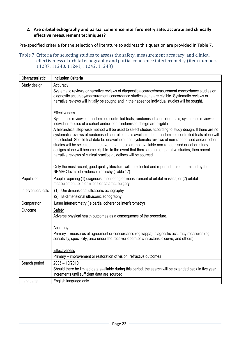## **2. Are orbital echography and partial coherence interferometry safe, accurate and clinically effective measurement techniques?**

Pre‐specified criteria for the selection of literature to address this question are provided in Table 7 .

<span id="page-24-0"></span>Table 7 Criteria for selecting studies to assess the safety, measurement accuracy, and clinical effectiveness of orbital echography and partial coherence interferometry (item numbers 11237, 11240, 11241, 11242, 11243)

| Characteristic     | <b>Inclusion Criteria</b>                                                                                                                                                                                                                                                                                                                                                                                                                                                                                                                                                                                                                                                                                                                                                                                                    |
|--------------------|------------------------------------------------------------------------------------------------------------------------------------------------------------------------------------------------------------------------------------------------------------------------------------------------------------------------------------------------------------------------------------------------------------------------------------------------------------------------------------------------------------------------------------------------------------------------------------------------------------------------------------------------------------------------------------------------------------------------------------------------------------------------------------------------------------------------------|
| Study design       | <b>Accuracy</b><br>Systematic reviews or narrative reviews of diagnostic accuracy/measurement concordance studies or<br>diagnostic accuracy/measurement concordance studies alone are eligible. Systematic reviews or<br>narrative reviews will initially be sought, and in their absence individual studies will be sought.                                                                                                                                                                                                                                                                                                                                                                                                                                                                                                 |
|                    | Effectiveness<br>Systematic reviews of randomised controlled trials, randomised controlled trials, systematic reviews or<br>individual studies of a cohort and/or non-randomised design are eligible.<br>A hierarchical step-wise method will be used to select studies according to study design. If there are no<br>systematic reviews of randomised controlled trials available, then randomised controlled trials alone will<br>be selected. Should trial data be unavailable then systematic reviews of non-randomised and/or cohort<br>studies will be selected. In the event that these are not available non-randomised or cohort study<br>designs alone will become eligible. In the event that there are no comparative studies, then recent<br>narrative reviews of clinical practice guidelines will be sourced. |
|                    | Only the most recent, good quality literature will be selected and reported - as determined by the<br>NHMRC levels of evidence hierarchy (Table 17).                                                                                                                                                                                                                                                                                                                                                                                                                                                                                                                                                                                                                                                                         |
| Population         | People requiring (1) diagnosis, monitoring or measurement of orbital masses, or (2) orbital<br>measurement to inform lens or cataract surgery                                                                                                                                                                                                                                                                                                                                                                                                                                                                                                                                                                                                                                                                                |
| Intervention/tests | (1) Uni-dimensional ultrasonic echography<br>(2) Bi-dimensional ultrasonic echography                                                                                                                                                                                                                                                                                                                                                                                                                                                                                                                                                                                                                                                                                                                                        |
| Comparator         | Laser interferometry (ie partial coherence interferometry)                                                                                                                                                                                                                                                                                                                                                                                                                                                                                                                                                                                                                                                                                                                                                                   |
| Outcome            | Safety<br>Adverse physical health outcomes as a consequence of the procedure.                                                                                                                                                                                                                                                                                                                                                                                                                                                                                                                                                                                                                                                                                                                                                |
|                    | Accuracy<br>Primary – measures of agreement or concordance (eg kappa), diagnostic accuracy measures (eg<br>sensitivity, specificity, area under the receiver operator characteristic curve, and others)                                                                                                                                                                                                                                                                                                                                                                                                                                                                                                                                                                                                                      |
|                    | <b>Effectiveness</b><br>Primary – improvement or restoration of vision, refractive outcomes                                                                                                                                                                                                                                                                                                                                                                                                                                                                                                                                                                                                                                                                                                                                  |
| Search period      | $2005 - 10/2010$<br>Should there be limited data available during this period, the search will be extended back in five year<br>increments until sufficient data are sourced.                                                                                                                                                                                                                                                                                                                                                                                                                                                                                                                                                                                                                                                |
| Language           | English language only                                                                                                                                                                                                                                                                                                                                                                                                                                                                                                                                                                                                                                                                                                                                                                                                        |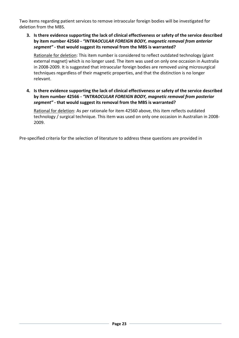Two items regarding patient services to remove intraocular foreign bodies will be investigated for deletion from the MBS.

**3. Is there evidence supporting the lack of clinical effectiveness or safety of the service described by item number 42560 ‐** *"INTRAOCULAR FOREIGN BODY, magnetic removal from anterior segment"* **‐ that would suggest its removal from the MBS is warranted?**

Rationale for deletion: This item number is considered to reflect outdated technology (giant external magnet) which is no longer used. The item was used on only one occasion in Australia in 2008‐2009. It is suggested that intraocular foreign bodies are removed using microsurgical techniques regardless of their magnetic properties, and that the distinction is no longer relevant.

**4. Is there evidence supporting the lack of clinical effectiveness or safety of the service described by item number 42566 ‐** *"INTRAOCULAR FOREIGN BODY, magnetic removal from posterior segment"* **‐ that would suggest its removal from the MBS is warranted?**

Rational for deletion: As per rationale for item 42560 above, this item reflects outdated technology / surgical technique. This item was used on only one occasion in Australian in 2008‐ 2009.

Pre‐specified criteria for the selection of literature to address these questions are provided in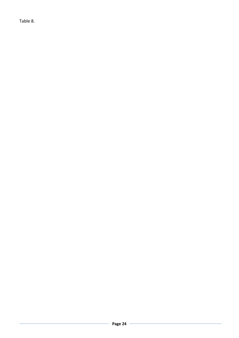[Table](#page-27-0) 8.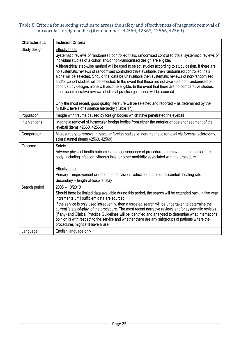#### Table 8 Criteria for selecting studies to assess the safety and effectiveness of magnetic removal of intraocular foreign bodies (item numbers 42560, 42563, 42566, 42569)

<span id="page-27-0"></span>

| Characteristic | <b>Inclusion Criteria</b>                                                                                                                                                                                                                                                                                                                                                                                                                                                                                                                                                                                                                                                                                                                                                                                                                                                                                                                                                                   |
|----------------|---------------------------------------------------------------------------------------------------------------------------------------------------------------------------------------------------------------------------------------------------------------------------------------------------------------------------------------------------------------------------------------------------------------------------------------------------------------------------------------------------------------------------------------------------------------------------------------------------------------------------------------------------------------------------------------------------------------------------------------------------------------------------------------------------------------------------------------------------------------------------------------------------------------------------------------------------------------------------------------------|
| Study design   | <b>Effectiveness</b><br>Systematic reviews of randomised controlled trials, randomised controlled trials, systematic reviews or<br>individual studies of a cohort and/or non-randomised design are eligible.<br>A hierarchical step-wise method will be used to select studies according to study design. If there are<br>no systematic reviews of randomised controlled trials available, then randomised controlled trials<br>alone will be selected. Should trial data be unavailable then systematic reviews of non-randomised<br>and/or cohort studies will be selected. In the event that these are not available non-randomised or<br>cohort study designs alone will become eligible. In the event that there are no comparative studies,<br>then recent narrative reviews of clinical practice guidelines will be sourced.<br>Only the most recent, good quality literature will be selected and reported - as determined by the<br>NHMRC levels of evidence hierarchy (Table 17). |
| Population     | People with trauma caused by foreign bodies which have penetrated the eyeball                                                                                                                                                                                                                                                                                                                                                                                                                                                                                                                                                                                                                                                                                                                                                                                                                                                                                                               |
| Interventions  | Magnetic removal of intraocular foreign bodies from either the anterior or posterior segment of the<br>eyeball (items 42560, 42566)                                                                                                                                                                                                                                                                                                                                                                                                                                                                                                                                                                                                                                                                                                                                                                                                                                                         |
| Comparator     | Microsurgery to remove intraocular foreign bodies ie non-magnetic removal via forceps, sclerotomy,<br>scleral tunnel (items 42563, 42569)                                                                                                                                                                                                                                                                                                                                                                                                                                                                                                                                                                                                                                                                                                                                                                                                                                                   |
| Outcome        | Safety<br>Adverse physical health outcomes as a consequence of procedure to remove the intraocular foreign<br>body, including infection, vitreous loss, or other morbidity associated with the procedure.<br><b>Effectiveness</b><br>Primary – improvement or restoration of vision, reduction in pain or discomfort, healing rate                                                                                                                                                                                                                                                                                                                                                                                                                                                                                                                                                                                                                                                          |
|                | Secondary – length of hospital stay                                                                                                                                                                                                                                                                                                                                                                                                                                                                                                                                                                                                                                                                                                                                                                                                                                                                                                                                                         |
| Search period  | $2005 - 10/2010$<br>Should there be limited data available during this period, the search will be extended back in five year<br>increments until sufficient data are sourced.<br>If the service is only used infrequently, then a targeted search will be undertaken to determine the<br>current 'state-of-play' of the procedure. The most recent narrative reviews and/or systematic reviews<br>(if any) and Clinical Practice Guidelines will be identified and analysed to determine what international<br>opinion is with respect to the service and whether there are any subgroups of patients where the<br>procedures might still have a use.                                                                                                                                                                                                                                                                                                                                       |
| Language       | English language only                                                                                                                                                                                                                                                                                                                                                                                                                                                                                                                                                                                                                                                                                                                                                                                                                                                                                                                                                                       |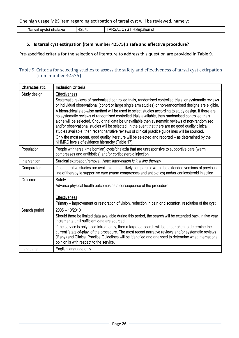One high usage MBS item regarding extirpation of tarsal cyst will be reviewed, namely:

| Tarsal cysts/ chalazia | <b>Aつらつら</b><br>420I U | CYST<br><b>TARSAL</b><br>extirpation of |
|------------------------|------------------------|-----------------------------------------|

## **5. Is tarsal cyst extirpation (item number 42575) a safe and effective procedure?**

Pre‐specified criteria for the selection of literature to address this question are provided in [Table](#page-28-0) 9.

## <span id="page-28-0"></span>Table 9 Criteria for selecting studies to assess the safety and effectiveness of tarsal cyst extirpation (item number 42575)

| Characteristic | <b>Inclusion Criteria</b>                                                                                                                                                                                                                                                                                                                                                                                                                                                                                                                                                                                                                                                                                                                                                                                                                                                                                                             |
|----------------|---------------------------------------------------------------------------------------------------------------------------------------------------------------------------------------------------------------------------------------------------------------------------------------------------------------------------------------------------------------------------------------------------------------------------------------------------------------------------------------------------------------------------------------------------------------------------------------------------------------------------------------------------------------------------------------------------------------------------------------------------------------------------------------------------------------------------------------------------------------------------------------------------------------------------------------|
| Study design   | <b>Effectiveness</b><br>Systematic reviews of randomised controlled trials, randomised controlled trials, or systematic reviews<br>or individual observational (cohort or large single arm studies) or non-randomised designs are eligible.<br>A hierarchical step-wise method will be used to select studies according to study design. If there are<br>no systematic reviews of randomised controlled trials available, then randomised controlled trials<br>alone will be selected. Should trial data be unavailable then systematic reviews of non-randomised<br>and/or observational studies will be selected. In the event that there are no good quality clinical<br>studies available, then recent narrative reviews of clinical practice guidelines will be sourced.<br>Only the most recent, good quality literature will be selected and reported - as determined by the<br>NHMRC levels of evidence hierarchy (Table 17). |
| Population     | People with tarsal (meibomian) cysts/chalazia that are unresponsive to supportive care (warm<br>compresses and antibiotics) and/or corticosteroid injection                                                                                                                                                                                                                                                                                                                                                                                                                                                                                                                                                                                                                                                                                                                                                                           |
| Intervention   | Surgical extirpation/removal. Note: Intervention is last line therapy                                                                                                                                                                                                                                                                                                                                                                                                                                                                                                                                                                                                                                                                                                                                                                                                                                                                 |
| Comparator     | If comparative studies are available – then likely comparator would be extended versions of previous<br>line of therapy ie supportive care (warm compresses and antibiotics) and/or corticosteroid injection                                                                                                                                                                                                                                                                                                                                                                                                                                                                                                                                                                                                                                                                                                                          |
| Outcome        | Safety<br>Adverse physical health outcomes as a consequence of the procedure.<br>Effectiveness<br>Primary – improvement or restoration of vision, reduction in pain or discomfort, resolution of the cyst                                                                                                                                                                                                                                                                                                                                                                                                                                                                                                                                                                                                                                                                                                                             |
| Search period  | $2005 - 10/2010$<br>Should there be limited data available during this period, the search will be extended back in five year<br>increments until sufficient data are sourced.<br>If the service is only used infrequently, then a targeted search will be undertaken to determine the<br>current 'state-of-play' of the procedure. The most recent narrative reviews and/or systematic reviews<br>(if any) and Clinical Practice Guidelines will be identified and analysed to determine what international<br>opinion is with respect to the service.                                                                                                                                                                                                                                                                                                                                                                                |
| Language       | English language only                                                                                                                                                                                                                                                                                                                                                                                                                                                                                                                                                                                                                                                                                                                                                                                                                                                                                                                 |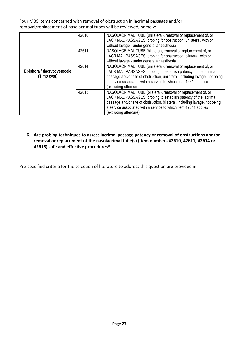Four MBS items concerned with removal of obstruction in lacrimal passages and/or removal/replacement of nasolacrimal tubes will be reviewed, namely:

| Epiphora / dacryocystocele<br>(Timo cyst) | 42610 | NASOLACRIMAL TUBE (unilateral), removal or replacement of, or<br>LACRIMAL PASSAGES, probing for obstruction, unilateral, with or<br>without lavage - under general anaesthesia                                                                                                                              |
|-------------------------------------------|-------|-------------------------------------------------------------------------------------------------------------------------------------------------------------------------------------------------------------------------------------------------------------------------------------------------------------|
|                                           | 42611 | NASOLACRIMAL TUBE (bilateral), removal or replacement of, or<br>LACRIMAL PASSAGES, probing for obstruction, bilateral, with or<br>without lavage - under general anaesthesia                                                                                                                                |
|                                           | 42614 | NASOLACRIMAL TUBE (unilateral), removal or replacement of, or<br>LACRIMAL PASSAGES, probing to establish patency of the lacrimal<br>passage and/or site of obstruction, unilateral, including lavage, not being<br>a service associated with a service to which item 42610 applies<br>(excluding aftercare) |
|                                           | 42615 | NASOLACRIMAL TUBE (bilateral), removal or replacement of, or<br>LACRIMAL PASSAGES, probing to establish patency of the lacrimal<br>passage and/or site of obstruction, bilateral, including lavage, not being<br>a service associated with a service to which item 42611 applies<br>(excluding aftercare)   |

**6. Are probing techniques to assess lacrimal passage patency or removal of obstructions and/or removal or replacement of the nasolacrimal tube(s) (item numbers 42610, 42611, 42614 or 42615) safe and effective procedures?**

Pre‐specified criteria for the selection of literature to address this question are provided in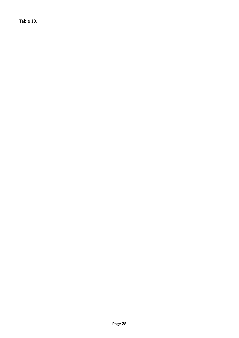[Table](#page-31-0) 10.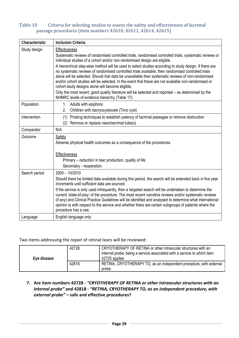## Table 10 Criteria for selecting studies to assess the safety and effectiveness of lacrimal passage procedures (item numbers 42610, 42611, 42614, 42615)

<span id="page-31-0"></span>

| Characteristic | <b>Inclusion Criteria</b>                                                                                                                                                                                                                                                                                                                                                                                                                                                     |  |  |
|----------------|-------------------------------------------------------------------------------------------------------------------------------------------------------------------------------------------------------------------------------------------------------------------------------------------------------------------------------------------------------------------------------------------------------------------------------------------------------------------------------|--|--|
| Study design   | <b>Effectiveness</b>                                                                                                                                                                                                                                                                                                                                                                                                                                                          |  |  |
|                | Systematic reviews of randomised controlled trials, randomised controlled trials, systematic reviews or<br>individual studies of a cohort and/or non-randomised design are eligible.                                                                                                                                                                                                                                                                                          |  |  |
|                | A hierarchical step-wise method will be used to select studies according to study design. If there are<br>no systematic reviews of randomised controlled trials available, then randomised controlled trials<br>alone will be selected. Should trial data be unavailable then systematic reviews of non-randomised<br>and/or cohort studies will be selected. In the event that these are not available non-randomised or<br>cohort study designs alone will become eligible. |  |  |
|                | Only the most recent, good quality literature will be selected and reported – as determined by the<br>NHMRC levels of evidence hierarchy (Table 17).                                                                                                                                                                                                                                                                                                                          |  |  |
| Population     | 1.<br>Adults with epiphora                                                                                                                                                                                                                                                                                                                                                                                                                                                    |  |  |
|                | Children with dacryocystocele (Timo cyst)<br>2.                                                                                                                                                                                                                                                                                                                                                                                                                               |  |  |
| Intervention   | Probing techniques to establish patency of lacrimal passages or remove obstruction<br>(1)                                                                                                                                                                                                                                                                                                                                                                                     |  |  |
|                | Remove or replace nasoclacrimal tube(s)<br>(2)                                                                                                                                                                                                                                                                                                                                                                                                                                |  |  |
| Comparator     | N/A                                                                                                                                                                                                                                                                                                                                                                                                                                                                           |  |  |
| Outcome        | Safety<br>Adverse physical health outcomes as a consequence of the procedures.                                                                                                                                                                                                                                                                                                                                                                                                |  |  |
|                | Effectiveness                                                                                                                                                                                                                                                                                                                                                                                                                                                                 |  |  |
|                | Primary – reduction in tear production, quality of life                                                                                                                                                                                                                                                                                                                                                                                                                       |  |  |
|                | Secondary - reoperation                                                                                                                                                                                                                                                                                                                                                                                                                                                       |  |  |
| Search period  | $2005 - 10/2010$                                                                                                                                                                                                                                                                                                                                                                                                                                                              |  |  |
|                | Should there be limited data available during this period, the search will be extended back in five year<br>increments until sufficient data are sourced.                                                                                                                                                                                                                                                                                                                     |  |  |
|                | If the service is only used infrequently, then a targeted search will be undertaken to determine the<br>current 'state-of-play' of the procedure. The most recent narrative reviews and/or systematic reviews<br>(if any) and Clinical Practice Guidelines will be identified and analysed to determine what international<br>opinion is with respect to the service and whether there are certain subgroups of patients where the<br>procedure has a use.                    |  |  |
| Language       | English language only                                                                                                                                                                                                                                                                                                                                                                                                                                                         |  |  |

Two items addressing the repair of retinal tears will be reviewed:

| Eye disease | 42728 | CRYOTHERAPY OF RETINA or other intraocular structures with an<br>internal probe, being a service associated with a service to which item<br>42725 applies |
|-------------|-------|-----------------------------------------------------------------------------------------------------------------------------------------------------------|
|             | 42818 | RETINA, CRYOTHERAPY TO, as an independent procedure, with external<br>probe                                                                               |

## **7. Are item numbers 42728 ‐** *"CRYOTHERAPY OF RETINA or other intraocular structures with an internal probe"* **and 42818 ‐** *"RETINA, CRYOTHERAPY TO, as an independent procedure, with external probe"* **– safe and effective procedures?**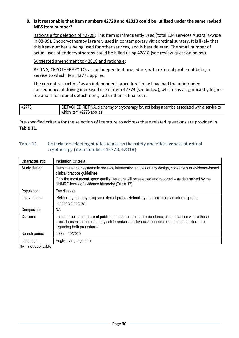## **8. Is it reasonable that item numbers 42728 and 42818 could be utilised under the same revised MBS item number?**

Rationale for deletion of 42728: This item is infrequently used (total 124 services Australia‐wide in 08‐09). Endocryotherapy is rarely used in contemporary vitreoretinal surgery. It is likely that this item number is being used for other services, and is best deleted. The small number of actual uses of endocryotherapy could be billed using 42818 (see review question below).

Suggested amendment to 42818 and rationale:

RETINA, CRYOTHERAPY TO, as an independent procedure, with external probe not being a service to which item 42773 applies

The current restriction "as an independent procedure" may have had the unintended consequence of driving increased use of item 42773 (see below), which has a significantly higher fee and is for retinal detachment, rather than retinal tear.

| 42773 | DETACHED RETINA, diathermy or cryotherapy for, not being a service associated with a service to |
|-------|-------------------------------------------------------------------------------------------------|
|       | which item 42776 applies                                                                        |

Pre-specified criteria for the selection of literature to address these related questions are provided in [Table](#page-32-0) 11.

#### <span id="page-32-0"></span>Table 11 Criteria for selecting studies to assess the safety and effectiveness of retinal cryotherapy (item numbers 42728, 42818)

| Characteristic | <b>Inclusion Criteria</b>                                                                                                                                                                                                  |  |
|----------------|----------------------------------------------------------------------------------------------------------------------------------------------------------------------------------------------------------------------------|--|
| Study design   | Narrative and/or systematic reviews, intervention studies of any design, consensus or evidence-based<br>clinical practice guidelines.                                                                                      |  |
|                | Only the most recent, good quality literature will be selected and reported – as determined by the<br>NHMRC levels of evidence hierarchy (Table 17).                                                                       |  |
| Population     | Eye disease                                                                                                                                                                                                                |  |
| Interventions  | Retinal cryotherapy using an external probe, Retinal cryotherapy using an internal probe<br>(endocryotherapy)                                                                                                              |  |
| Comparator     | <b>NA</b>                                                                                                                                                                                                                  |  |
| Outcome        | Latest occurrence (date) of published research on both procedures, circumstances where these<br>procedures might be used, any safety and/or effectiveness concerns reported in the literature<br>regarding both procedures |  |
| Search period  | $2005 - 10/2010$                                                                                                                                                                                                           |  |
| Language       | English language only                                                                                                                                                                                                      |  |

NA = not applicable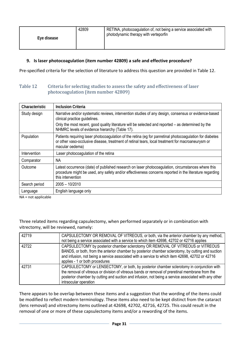| Eye disease | 42809 | RETINA, photocoagulation of, not being a service associated with<br>photodynamic therapy with verteporfin |
|-------------|-------|-----------------------------------------------------------------------------------------------------------|
|-------------|-------|-----------------------------------------------------------------------------------------------------------|

## **9. Is laser photocoagulation (item number 42809) a safe and effective procedure?**

Pre-specified criteria for the selection of literature to address this question are provided in [Table](#page-33-0) 12.

#### <span id="page-33-0"></span>Table 12 Criteria for selecting studies to assess the safety and effectiveness of laser photocoagulation (item number 42809)

| Characteristic            | <b>Inclusion Criteria</b>                                                                                                                                                                                                         |
|---------------------------|-----------------------------------------------------------------------------------------------------------------------------------------------------------------------------------------------------------------------------------|
| Study design              | Narrative and/or systematic reviews, intervention studies of any design, consensus or evidence-based<br>clinical practice guidelines.                                                                                             |
|                           | Only the most recent, good quality literature will be selected and reported – as determined by the<br>NHMRC levels of evidence hierarchy (Table 17).                                                                              |
| Population                | Patients requiring laser photocoagulation of the retina (eg for panretinal photocoagulation for diabetes<br>or other vaso-occlusive disease, treatment of retinal tears, local treatment for macroaneurysm or<br>macular oedema)  |
| Intervention              | Laser photocoagulation of the retina                                                                                                                                                                                              |
| Comparator                | NA.                                                                                                                                                                                                                               |
| Outcome                   | Latest occurrence (date) of published research on laser photocoagulation, circumstances where this<br>procedure might be used, any safety and/or effectiveness concerns reported in the literature regarding<br>this intervention |
| Search period             | $2005 - 10/2010$                                                                                                                                                                                                                  |
| Language                  | English language only                                                                                                                                                                                                             |
| $N = n +$ or $\mathbb{R}$ |                                                                                                                                                                                                                                   |

NA = not applicable

Three related items regarding capsulectomy, when performed separately or in combination with vitrectomy, will be reviewed, namely:

| 42719 | CAPSULECTOMY OR REMOVAL OF VITREOUS, or both, via the anterior chamber by any method,<br>not being a service associated with a service to which item 42698, 42702 or 42716 applies                                                                                                                                            |
|-------|-------------------------------------------------------------------------------------------------------------------------------------------------------------------------------------------------------------------------------------------------------------------------------------------------------------------------------|
| 42722 | CAPSULECTOMY by posterior chamber sclerotomy OR REMOVAL OF VITREOUS or VITREOUS<br>BANDS, or both, from the anterior chamber by posterior chamber sclerotomy, by cutting and suction<br>and infusion, not being a service associated with a service to which item 42698, 42702 or 42716<br>applies - 1 or both procedures     |
| 42731 | CAPSULECTOMY or LENSECTOMY, or both, by posterior chamber sclerotomy in conjunction with<br>the removal of vitreous or division of vitreous bands or removal of preretinal membrane from the<br>posterior chamber by cutting and suction and infusion, not being a service associated with any other<br>intraocular operation |

There appears to be overlap between these items and a suggestion that the wording of the items could be modified to reflect modern terminology. These items also need to be kept distinct from the cataract (lens removal) and vitrectomy items outlined at 42698, 42702, 42716, 42725. This could result in the removal of one or more of these capsulectomy items and/or a rewording of the items.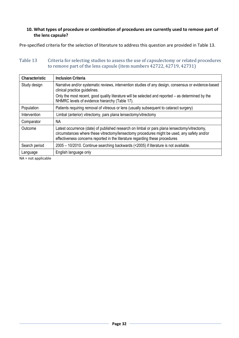#### **10. What types of procedure or combination of procedures are currently used to remove part of the lens capsule?**

Pre-specified criteria for the selection of literature to address this question are provided in [Table](#page-34-0) 13.

## <span id="page-34-0"></span>Table 13 Criteria for selecting studies to assess the use of capsulectomy or related procedures to remove part of the lens capsule (item numbers 42722, 42719, 42731)

| Characteristic | <b>Inclusion Criteria</b>                                                                                                                                                                                                                                                    |  |  |
|----------------|------------------------------------------------------------------------------------------------------------------------------------------------------------------------------------------------------------------------------------------------------------------------------|--|--|
| Study design   | Narrative and/or systematic reviews, intervention studies of any design, consensus or evidence-based<br>clinical practice guidelines.                                                                                                                                        |  |  |
|                | Only the most recent, good quality literature will be selected and reported – as determined by the<br>NHMRC levels of evidence hierarchy (Table 17).                                                                                                                         |  |  |
| Population     | Patients requiring removal of vitreous or lens (usually subsequent to cataract surgery)                                                                                                                                                                                      |  |  |
| Intervention   | Limbal (anterior) vitrectomy, pars plana lensectomy/vitrectomy                                                                                                                                                                                                               |  |  |
| Comparator     | ΝA                                                                                                                                                                                                                                                                           |  |  |
| Outcome        | Latest occurrence (date) of published research on limbal or pars plana lensectomy/vitrectomy,<br>circumstances where these vitrectomy/lensectomy procedures might be used, any safety and/or<br>effectiveness concerns reported in the literature regarding these procedures |  |  |
| Search period  | 2005 – 10/2010. Continue searching backwards (<2005) if literature is not available.                                                                                                                                                                                         |  |  |
| Language       | English language only                                                                                                                                                                                                                                                        |  |  |

NA = not applicable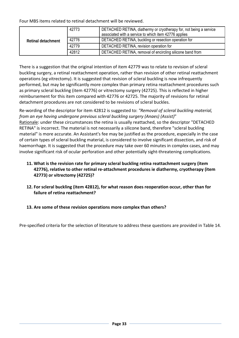Four MBS items related to retinal detachment will be reviewed.

| <b>Retinal detachment</b> | 42773 | DETACHED RETINA, diathermy or cryotherapy for, not being a service<br>associated with a service to which item 42776 applies |
|---------------------------|-------|-----------------------------------------------------------------------------------------------------------------------------|
|                           | 42776 | DETACHED RETINA, buckling or resection operation for                                                                        |
|                           | 42779 | DETACHED RETINA, revision operation for                                                                                     |
|                           | 42812 | DETACHED RETINA, removal of encircling silicone band from                                                                   |

There is a suggestion that the original intention of item 42779 was to relate to revision of scleral buckling surgery, a retinal reattachment operation, rather than revision of other retinal reattachment operations (eg vitrectomy). It is suggested that revision of scleral buckling is now infrequently performed, but may be significantly more complex than primary retina reattachment procedures such as primary scleral buckling (item 42776) or vitrectomy surgery (42725). This is reflected in higher reimbursement for this item compared with 42776 or 42725. The majority of revisions for retinal detachment procedures are not considered to be revisions of scleral buckles.

Re‐wording of the descriptor for item 42812 is suggested to: *"Removal of scleral buckling material, from an eye having undergone previous scleral buckling surgery (Anaes) (Assist)*" Rationale: under these circumstances the retina is usually reattached, so the descriptor "DETACHED RETINA" is incorrect. The material is not necessarily a silicone band, therefore "scleral buckling material" is more accurate. An Assistant's fee may be justified as the procedure, especially in the case of certain types of scleral buckling material, is considered to involve significant dissection, and risk of haemorrhage. It is suggested that the procedure may take over 60 minutes in complex cases, and may involve significant risk of ocular perforation and other potentially sight‐threatening complications.

- **11. What is the revision rate for primary scleral buckling retina reattachment surgery (item 42776), relative to other retinal re‐attachment procedures ie diathermy, cryotherapy (item 42773) or vitrectomy (42725)?**
- **12. For scleral buckling (item 42812), for what reason does reoperation occur, other than for failure of retina reattachment?**

## **13. Are some of these revision operations more complex than others?**

Pre‐specified criteria for the selection of literature to address these questions are provided in [Table](#page-36-0) 14.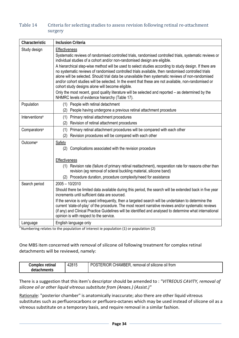## <span id="page-36-0"></span>Table 14 Criteria for selecting studies to assess revision following retinal re-attachment surgery

| Characteristic             | <b>Inclusion Criteria</b>                                                                                                                                                                                                                                                                                                                                                                                                                                                                                                                                                                                                                  |
|----------------------------|--------------------------------------------------------------------------------------------------------------------------------------------------------------------------------------------------------------------------------------------------------------------------------------------------------------------------------------------------------------------------------------------------------------------------------------------------------------------------------------------------------------------------------------------------------------------------------------------------------------------------------------------|
| Study design               | <b>Effectiveness</b><br>Systematic reviews of randomised controlled trials, randomised controlled trials, systematic reviews or<br>individual studies of a cohort and/or non-randomised design are eligible.<br>A hierarchical step-wise method will be used to select studies according to study design. If there are<br>no systematic reviews of randomised controlled trials available, then randomised controlled trials<br>alone will be selected. Should trial data be unavailable then systematic reviews of non-randomised<br>and/or cohort studies will be selected. In the event that these are not available, non-randomised or |
|                            | cohort study designs alone will become eligible.<br>Only the most recent, good quality literature will be selected and reported - as determined by the<br>NHMRC levels of evidence hierarchy (Table 17).                                                                                                                                                                                                                                                                                                                                                                                                                                   |
| Population                 | (1) People with retinal detachment<br>People having undergone a previous retinal attachment procedure<br>(2)                                                                                                                                                                                                                                                                                                                                                                                                                                                                                                                               |
| Interventions <sup>a</sup> | (1)<br>Primary retinal attachment procedures<br>Revision of retinal attachment procedures<br>(2)                                                                                                                                                                                                                                                                                                                                                                                                                                                                                                                                           |
| Comparators <sup>a</sup>   | Primary retinal attachment procedures will be compared with each other<br>(1)<br>Revision procedures will be compared with each other<br>(2)                                                                                                                                                                                                                                                                                                                                                                                                                                                                                               |
| Outcome <sup>a</sup>       | <b>Safety</b><br>(2)<br>Complications associated with the revision procedure                                                                                                                                                                                                                                                                                                                                                                                                                                                                                                                                                               |
|                            | Effectiveness<br>(1) Revision rate (failure of primary retinal reattachment), reoperation rate for reasons other than<br>revision (eg removal of scleral buckling material, silicone band)<br>Procedure duration, procedure complexity/need for assistance<br>(2)                                                                                                                                                                                                                                                                                                                                                                          |
| Search period              | $2005 - 10/2010$<br>Should there be limited data available during this period, the search will be extended back in five year<br>increments until sufficient data are sourced.<br>If the service is only used infrequently, then a targeted search will be undertaken to determine the<br>current 'state-of-play' of the procedure. The most recent narrative reviews and/or systematic reviews<br>(if any) and Clinical Practice Guidelines will be identified and analysed to determine what international<br>opinion is with respect to the service.                                                                                     |
| Language                   | English language only                                                                                                                                                                                                                                                                                                                                                                                                                                                                                                                                                                                                                      |

<sup>a</sup> Numbering relates to the population of interest ie population (1) or population (2)

## One MBS item concerned with removal of silicone oil following treatment for complex retinal detachments will be reviewed, namely:

| Complex<br>retinal        | 4281 <sup>r</sup> | <br><br><b>CHAMBER</b><br>$\cdots$<br>DC.<br>removal<br>trom<br>of silicone oil<br>:RIUR<br>л. |
|---------------------------|-------------------|------------------------------------------------------------------------------------------------|
| <b>chments</b><br>detachn |                   |                                                                                                |

There is a suggestion that this item's descriptor should be amended to : *"VITREOUS CAVITY, removal of silicone oil or other liquid vitreous substitute from (Anaes.) (Assist.)"*

Rationale: "posterior chamber" is anatomically inaccurate; also there are other liquid vitreous substitutes such as perfluorocarbons or perfluoro‐octanes which may be used instead of silicone oil as a vitreous substitute on a temporary basis, and require removal in a similar fashion.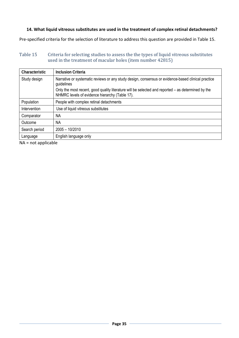## **14. What liquid vitreous substitutes are used in the treatment of complex retinal detachments?**

Pre‐specified criteria for the selection of literature to address this question are provided in [Table](#page-37-0) 15.

## <span id="page-37-0"></span>Table 15 Criteria for selecting studies to assess the the types of liquid vitreous substitutes used in the treatment of macular holes (item number 42815)

| Characteristic | <b>Inclusion Criteria</b>                                                                                                                            |  |
|----------------|------------------------------------------------------------------------------------------------------------------------------------------------------|--|
| Study design   | Narrative or systematic reviews or any study design, consensus or evidence-based clinical practice<br>guidelines                                     |  |
|                | Only the most recent, good quality literature will be selected and reported – as determined by the<br>NHMRC levels of evidence hierarchy (Table 17). |  |
| Population     | People with complex retinal detachments                                                                                                              |  |
| Intervention   | Use of liquid vitreous substitutes                                                                                                                   |  |
| Comparator     | ΝA                                                                                                                                                   |  |
| Outcome        | ΝA                                                                                                                                                   |  |
| Search period  | $2005 - 10/2010$                                                                                                                                     |  |
| Language       | English language only                                                                                                                                |  |

NA = not applicable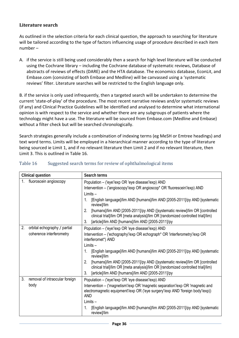## **Literature search**

As outlined in the selection criteria for each clinical question, the approach to searching for literature will be tailored according to the type of factors influencing usage of procedure described in each item number –

A. if the service is still being used considerably then a search for high level literature will be conducted using the Cochrane library – including the Cochrane database of systematic reviews, Database of abstracts of reviews of effects (DARE) and the HTA database. The economics database, EconLit, and Embase.com (consisting of both Embase and Medline) will be canvassed using a 'systematic reviews' filter. Literature searches will be restricted to the English language only.

B. if the service is only used infrequently, then a targeted search will be undertaken to determine the current 'state‐of‐play' of the procedure. The most recent narrative reviews and/or systematic reviews (if any) and Clinical Practice Guidelines will be identified and analysed to determine what international opinion is with respect to the service and whether there are any subgroups of patients where the technology might have a use. The literature will be sourced from Embase.com (Medline and Embase) without a filter check but will be searched chronologically.

Search strategies generally include a combination of indexing terms (eg MeSH or Emtree headings) and text word terms. Limits will be employed in a hierarchical manner according to the type of literature being sourced ie Limit 1, and if no relevant literature then Limit 2 and if no relevant literature, then Limit 3. This is outlined in Table 16.

| <b>Clinical question</b>             | Search terms                                                                                                                                                          |  |
|--------------------------------------|-----------------------------------------------------------------------------------------------------------------------------------------------------------------------|--|
| fluoroscein angioscopy<br>$1_{-}$    | Population - ('eye'/exp OR 'eye disease'/exp) AND                                                                                                                     |  |
|                                      | Intervention – ('angioscopy'/exp OR angioscop* OR 'fluorescein'/exp) AND                                                                                              |  |
|                                      | $Limits -$                                                                                                                                                            |  |
|                                      | [English language]/lim AND [humans]/lim AND [2005-2011]/py AND [systematic<br>1.<br>review]/lim                                                                       |  |
|                                      | 2.<br>[humans]/lim AND [2005-2011]/py AND ([systematic review]/lim OR [controlled<br>clinical trial]/lim OR [meta analysis]/lim OR [randomized controlled trial]/lim) |  |
|                                      | [article]/lim AND [humans]/lim AND [2005-2011]/py<br>3.                                                                                                               |  |
| 2.<br>orbital echography / partial   | Population - ('eye'/exp OR 'eye disease'/exp) AND                                                                                                                     |  |
| coherence interferometry             | Intervention – ('echography'/exp OR echograph* OR 'interferometry'/exp OR<br>interferomet*) AND                                                                       |  |
|                                      | $Limits -$                                                                                                                                                            |  |
|                                      | 1.<br>[English language]/lim AND [humans]/lim AND [2005-2011]/py AND [systematic<br>review]/lim                                                                       |  |
|                                      | 2.<br>[humans]/lim AND [2005-2011]/py AND ([systematic review]/lim OR [controlled<br>clinical trial]/lim OR [meta analysis]/lim OR [randomized controlled trial]/lim) |  |
|                                      | 3.<br>[article]/lim AND [humans]/lim AND [2005-2011]/py                                                                                                               |  |
| 3.<br>removal of intraocular foreign | Population - ('eye'/exp OR 'eye disease'/exp) AND                                                                                                                     |  |
| body                                 | Intervention – ('magnetism'/exp OR 'magnetic separation'/exp OR 'magnetic and                                                                                         |  |
|                                      | electromagnetic equipment/exp OR ('eye surgery'/exp AND 'foreign body'/exp))<br><b>AND</b>                                                                            |  |
|                                      | $Limits -$                                                                                                                                                            |  |
|                                      | [English language]/lim AND [humans]/lim AND [2005-2011]/py AND [systematic<br>1.<br>review]/lim                                                                       |  |

## Table 16 Suggested search terms for review of ophthalmological items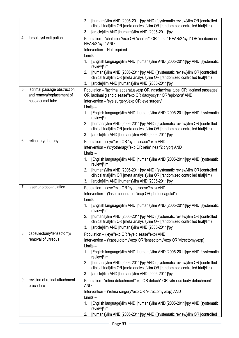|    |                                                           | [humans]/lim AND [2005-2011]/py AND ([systematic review]/lim OR [controlled<br>2.                                                                                     |  |
|----|-----------------------------------------------------------|-----------------------------------------------------------------------------------------------------------------------------------------------------------------------|--|
|    |                                                           | clinical trial]/lim OR [meta analysis]/lim OR [randomized controlled trial]/lim)<br>[article]/lim AND [humans]/lim AND [2005-2011]/py<br>3.                           |  |
| 4. | tarsal cyst extirpation                                   | Population - 'chalazion'/exp OR 'chalazi*' OR 'tarsal' NEAR/2 'cyst' OR 'meibomian'                                                                                   |  |
|    |                                                           | NEAR/2 'cyst' AND                                                                                                                                                     |  |
|    |                                                           | Intervention - Not required                                                                                                                                           |  |
|    |                                                           | $Limits -$                                                                                                                                                            |  |
|    |                                                           | [English language]/lim AND [humans]/lim AND [2005-2011]/py AND [systematic<br>1.<br>review]/lim                                                                       |  |
|    |                                                           | 2.<br>[humans]/lim AND [2005-2011]/py AND ([systematic review]/lim OR [controlled<br>clinical trial]/lim OR [meta analysis]/lim OR [randomized controlled trial]/lim) |  |
|    |                                                           | 3.<br>[article]/lim AND [humans]/lim AND [2005-2011]/py                                                                                                               |  |
| 5. | lacrimal passage obstruction<br>and remova/replacement of | Population - 'lacrimal apparatus'/exp OR 'nasolacrimal tube' OR 'lacrimal passages'<br>OR 'lacrimal gland disease'/exp OR dacryocyst* OR 'epiphora' AND               |  |
|    | nasolacrimal tube                                         | Intervention - 'eye surgery'/exp OR 'eye surgery'                                                                                                                     |  |
|    |                                                           | Limits-                                                                                                                                                               |  |
|    |                                                           | [English language]/lim AND [humans]/lim AND [2005-2011]/py AND [systematic<br>1.<br>review]/lim                                                                       |  |
|    |                                                           | 2.<br>[humans]/lim AND [2005-2011]/py AND ([systematic review]/lim OR [controlled                                                                                     |  |
|    |                                                           | clinical trial]/lim OR [meta analysis]/lim OR [randomized controlled trial]/lim)                                                                                      |  |
|    |                                                           | [article]/lim AND [humans]/lim AND [2005-2011]/py<br>3.                                                                                                               |  |
| 6. | retinal cryotherapy                                       | Population - ('eye'/exp OR 'eye disease'/exp) AND                                                                                                                     |  |
|    |                                                           | Intervention - ('cryotherapy'/exp OR retin* near/2 cryo*) AND<br>$Limits -$                                                                                           |  |
|    |                                                           | [English language]/lim AND [humans]/lim AND [2005-2011]/py AND [systematic<br>1.                                                                                      |  |
|    |                                                           | review]/lim                                                                                                                                                           |  |
|    |                                                           | [humans]/lim AND [2005-2011]/py AND ([systematic review]/lim OR [controlled<br>2.<br>clinical trial]/lim OR [meta analysis]/lim OR [randomized controlled trial]/lim) |  |
|    |                                                           | [article]/lim AND [humans]/lim AND [2005-2011]/py<br>3.                                                                                                               |  |
| 7. | laser photocoagulation                                    | Population - ('eye'/exp OR 'eye disease'/exp) AND                                                                                                                     |  |
|    |                                                           | Intervention - ('laser coagulation'/exp OR photocoagulat*)                                                                                                            |  |
|    |                                                           | $Limits -$                                                                                                                                                            |  |
|    |                                                           | [English language]/lim AND [humans]/lim AND [2005-2011]/py AND [systematic<br>1.<br>review]/lim                                                                       |  |
|    |                                                           | [humans]/lim AND [2005-2011]/py AND ([systematic review]/lim OR [controlled<br>2.                                                                                     |  |
|    |                                                           | clinical trial]/lim OR [meta analysis]/lim OR [randomized controlled trial]/lim)                                                                                      |  |
| 8. | capsulectomy/lensectomy/                                  | [article]/lim AND [humans]/lim AND [2005-2011]/py<br>3.                                                                                                               |  |
|    | removal of vitreous                                       | Population - ('eye'/exp OR 'eye disease'/exp) AND<br>Intervention - ('capsulotomy'/exp OR 'lensectomy'/exp OR 'vitrectomy'/exp)                                       |  |
|    |                                                           | $Limits -$                                                                                                                                                            |  |
|    |                                                           | 1.<br>[English language]/lim AND [humans]/lim AND [2005-2011]/py AND [systematic<br>review]/lim                                                                       |  |
|    |                                                           | 2.<br>[humans]/lim AND [2005-2011]/py AND ([systematic review]/lim OR [controlled<br>clinical trial]/lim OR [meta analysis]/lim OR [randomized controlled trial]/lim) |  |
|    |                                                           | [article]/lim AND [humans]/lim AND [2005-2011]/py<br>3.                                                                                                               |  |
| 9. | revision of retinal attachment<br>procedure               | Population - 'retina detachment'/exp OR detach* OR 'vitreous body detachment'<br><b>AND</b>                                                                           |  |
|    |                                                           | Intervention - ('retina surgery'/exp OR 'vitrectomy'/exp) AND                                                                                                         |  |
|    |                                                           | $Limits -$                                                                                                                                                            |  |
|    |                                                           | [English language]/lim AND [humans]/lim AND [2005-2011]/py AND [systematic<br>1.<br>review]/lim                                                                       |  |
|    |                                                           | [humans]/lim AND [2005-2011]/py AND ([systematic review]/lim OR [controlled<br>2.                                                                                     |  |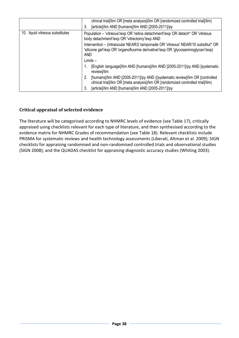|                                 | clinical trial]/lim OR [meta analysis]/lim OR [randomized controlled trial]/lim)<br>[article]/lim AND [humans]/lim AND [2005-2011]/py<br>3.                                         |  |
|---------------------------------|-------------------------------------------------------------------------------------------------------------------------------------------------------------------------------------|--|
| 10. liquid vitreous substitutes | Population - 'vitreous'/exp OR 'retina detachment'/exp OR detach* OR 'vitreous<br>body detachment'/exp OR 'vitrectomy'/exp AND                                                      |  |
|                                 | Intervention – (intraocular NEAR/2 tamponade OR 'vitreous' NEAR/10 substitut* OR<br>'silicone gel'/exp OR 'organofluorine derivative'/exp OR 'glycosaminoglycan'/exp)<br><b>AND</b> |  |
|                                 | $Limits -$                                                                                                                                                                          |  |
|                                 | [English language]/lim AND [humans]/lim AND [2005-2011]/py AND [systematic<br>review]/lim                                                                                           |  |
|                                 | 2.<br>[humans]/lim AND [2005-2011]/py AND ([systematic review]/lim OR [controlled]<br>clinical trial]/lim OR [meta analysis]/lim OR [randomized controlled trial]/lim)              |  |
|                                 | [article]/lim AND [humans]/lim AND [2005-2011]/py<br>3.                                                                                                                             |  |

## **Critical appraisal of selected evidence**

The literature will be categorised according to NHMRC levels of evidence (see [Table](#page-41-0) 17), critically appraised using checklists relevant for each type of literature, and then synthesised according to the evidence matrix for NHMRC Grades of recommendation (see [Table](#page-42-0) 18). Relevant checklists include PRISMA for systematic reviews and health technology assessments (Liberati, Altman et al. 2009); SIGN checklists for appraising randomised and non‐randomised controlled trials and observational studies (SIGN 2008); and the QUADAS checklist for appraising diagnostic accuracy studies (Whiting 2003).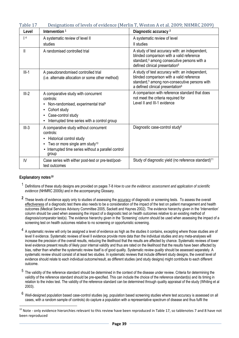<span id="page-41-0"></span>

| rabie 17 |                                                                                                                                                                                                               | Designations of levels of evidence (Mertin T, Weston A et al. 2009; NHMKC 2009)                                                                                                                          |
|----------|---------------------------------------------------------------------------------------------------------------------------------------------------------------------------------------------------------------|----------------------------------------------------------------------------------------------------------------------------------------------------------------------------------------------------------|
| Level    | Intervention $1$                                                                                                                                                                                              | Diagnostic accuracy <sup>2</sup>                                                                                                                                                                         |
| 4        | A systematic review of level II                                                                                                                                                                               | A systematic review of level                                                                                                                                                                             |
|          | studies                                                                                                                                                                                                       | II studies                                                                                                                                                                                               |
| Ш        | A randomised controlled trial                                                                                                                                                                                 | A study of test accuracy with: an independent,<br>blinded comparison with a valid reference<br>standard, <sup>5</sup> among consecutive persons with a<br>defined clinical presentation <sup>6</sup>     |
| $III-1$  | A pseudorandomised controlled trial<br>(i.e. alternate allocation or some other method)                                                                                                                       | A study of test accuracy with: an independent,<br>blinded comparison with a valid reference<br>standard, <sup>5</sup> among non-consecutive persons with<br>a defined clinical presentation <sup>6</sup> |
| $III-2$  | A comparative study with concurrent<br>controls:<br>Non-randomised, experimental trial <sup>9</sup><br>٠<br>Cohort study<br>٠<br>Case-control study<br>٠<br>Interrupted time series with a control group<br>٠ | A comparison with reference standard that does<br>not meet the criteria required for<br>Level II and III-1 evidence                                                                                      |
| $III-3$  | A comparative study without concurrent<br>controls:<br>Historical control study<br>٠<br>Two or more single arm study <sup>10</sup><br>٠<br>Interrupted time series without a parallel control<br>٠<br>group   | Diagnostic case-control study <sup>6</sup>                                                                                                                                                               |
| IV       | Case series with either post-test or pre-test/post-<br>test outcomes                                                                                                                                          | Study of diagnostic yield (no reference standard) <sup>11</sup>                                                                                                                                          |

## <span id="page-41-1"></span>Table 17 Designations of levels of evidence (Merlin T, Weston A et al. 2009; NHMRC 2009)

#### **Explanatory notes[10](#page-41-1)**

 $\overline{a}$ 

- 1 Definitions of these study designs are provided on pages 7-8 *How to use the evidence: assessment and application of scientific evidence* (NHMRC 2000b*)* and in the accompanying Glossary.
- **<sup>2</sup>** These levels of evidence apply only to studies of assessing the accuracy of diagnostic or screening tests. To assess the overall effectiveness of a diagnostic test there also needs to be a consideration of the impact of the test on patient management and health outcomes (Medical Services Advisory Committee 2005, Sackett and Haynes 2002). The evidence hierarchy given in the 'Intervention' column should be used when assessing the impact of a diagnostic test on health outcomes relative to an existing method of diagnosis/comparator test(s). The evidence hierarchy given in the 'Screening' column should be used when assessing the impact of a screening test on health outcomes relative to no screening or opportunistic screening.
- $4\,$  A systematic review will only be assigned a level of evidence as high as the studies it contains, excepting where those studies are of level II evidence. Systematic reviews of level II evidence provide more data than the individual studies and any meta-analyses will increase the precision of the overall results, reducing the likelihood that the results are affected by chance. Systematic reviews of lower level evidence present results of likely poor internal validity and thus are rated on the likelihood that the results have been affected by bias, rather than whether the systematic review itself is of good quality. Systematic review *quality* should be assessed separately. A systematic review should consist of at least two studies. In systematic reviews that include different study designs, the overall level of evidence should relate to each individual outcome/result, as different studies (and study designs) might contribute to each different outcome.
- <sup>5</sup> The validity of the reference standard should be determined in the context of the disease under review. Criteria for determining the validity of the reference standard should be pre-specified. This can include the choice of the reference standard(s) and its timing in relation to the index test. The validity of the reference standard can be determined through quality appraisal of the study (Whiting et al 2003).
- $6$  Well-designed population based case-control studies (eg. population based screening studies where test accuracy is assessed on all cases, with a random sample of controls) do capture a population with a representative spectrum of disease and thus fulfil the

 $10$  Note - only evidence hierarchies relevant to this review have been reproduced in Table 17, so tablenotes 7 and 8 have not been reproduced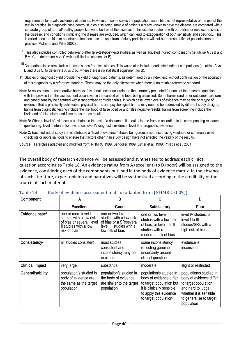requirements for a valid assembly of patients. However, in some cases the population assembled is not representative of the use of the test in practice. In diagnostic case-control studies a selected sample of patients already known to have the disease are compared with a separate group of normal/healthy people known to be free of the disease. In this situation patients with borderline or mild expressions of the disease, and conditions mimicking the disease are excluded, which can lead to exaggeration of both sensitivity and specificity. This is called spectrum bias or spectrum effect because the spectrum of study participants will not be representative of patients seen in practice (Mulherin and Miller 2002).

- 9 This also includes controlled before-and-after (pre-test/post-test) studies, as well as adjusted indirect comparisons (ie. utilise A vs B and B vs C, to determine A vs C with statistical adjustment for B).
- $10$  Comparing single arm studies ie. case series from two studies. This would also include unadjusted indirect comparisons (ie. utilise A vs B and B vs C, to determine A vs C but where there is no statistical adjustment for B).
- 11 Studies of diagnostic yield provide the yield of diagnosed patients, as determined by an index test, without confirmation of the accuracy of this diagnosis by a reference standard. These may be the only alternative when there is no reliable reference standard.
- **Note A:** Assessment of comparative harms/safety should occur according to the hierarchy presented for each of the research questions, with the proviso that this assessment occurs within the context of the topic being assessed. Some harms (and other outcomes) are rare and cannot feasibly be captured within randomised controlled trials, in which case lower levels of evidence may be the only type of evidence that is practically achievable; physical harms and psychological harms may need to be addressed by different study designs; harms from diagnostic testing include the likelihood of false positive and false negative results; harms from screening include the likelihood of false alarm and false reassurance results.
- **Note B:** When a level of evidence is attributed in the text of a document, it should also be framed according to its corresponding research question eg. level II intervention evidence; level IV diagnostic evidence; level III-2 prognostic evidence.
- **Note C:** Each individual study that is attributed a "level of evidence" should be rigorously appraised using validated or commonly used checklists or appraisal tools to ensure that factors other than study design have not affected the validity of the results.

**Source:** Hierarchies adapted and modified from: NHMRC 1999; Bandolier 1999; Lijmer et al. 1999; Phillips et al. 2001.

The overall body of research evidence will be assessed and synthesised to address each clinical question according to [Table](#page-42-0) 18. An evidence rating from A (excellent) to D (poor) will be assigned to the evidence, considering each of the components outlined in the body of evidence matrix. In the absence of such literature, expert opinion and narratives will be synthesised according to the credibility of the source of such material.

| Component                  | A                                                                                                                   | B                                                                                                                         | C                                                                                                                                                                          | D                                                                                                                                                                  |
|----------------------------|---------------------------------------------------------------------------------------------------------------------|---------------------------------------------------------------------------------------------------------------------------|----------------------------------------------------------------------------------------------------------------------------------------------------------------------------|--------------------------------------------------------------------------------------------------------------------------------------------------------------------|
|                            | <b>Excellent</b>                                                                                                    | Good                                                                                                                      | Satisfactory                                                                                                                                                               | Poor                                                                                                                                                               |
| Evidence base <sup>1</sup> | one or more level I<br>studies with a low risk<br>of bias or several level<br>II studies with a low<br>risk of bias | one or two level II<br>studies with a low risk<br>of bias or a SR/several<br>level III studies with a<br>low risk of bias | one or two level III<br>studies with a low risk<br>of bias, or level I or II<br>studies with a<br>moderate risk of bias                                                    | level IV studies, or<br>level I to III<br>studies/SRs with a<br>high risk of bias                                                                                  |
| Consistency <sup>2</sup>   | all studies consistent                                                                                              | most studies<br>consistent and<br>inconsistency may be<br>explained                                                       | some inconsistency<br>reflecting genuine<br>uncertainty around<br>clinical question                                                                                        | evidence is<br>inconsistent                                                                                                                                        |
| <b>Clinical impact</b>     | very large                                                                                                          | substantial                                                                                                               | moderate                                                                                                                                                                   | slight or restricted                                                                                                                                               |
| Generalisability           | population/s studied in<br>body of evidence are<br>the same as the target<br>population                             | population/s studied in<br>the body of evidence<br>are similar to the target<br>population                                | population/s studied in<br>body of evidence differ<br>to target population but<br>it is clinically sensible<br>to apply this evidence<br>to target population <sup>3</sup> | population/s studied in<br>body of evidence differ<br>to target population<br>and hard to judge<br>whether it is sensible<br>to generalise to target<br>population |

<span id="page-42-0"></span>Table 18 Body of evidence assessment matrix (adapted from (NHMRC 2009))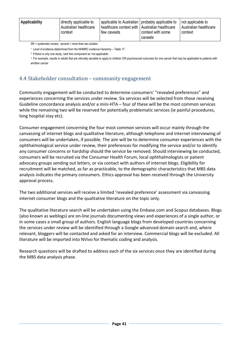$SR =$  systematic review; several = more than two studies

1 Level of evidence determined from the NHMRC evidence hierarchy – [Table 17](#page-41-0).

2 If there is only one study, rank this component as 'not applicable'.

<sup>3</sup> For example, results in adults that are clinically sensible to apply to children OR psychosocial outcomes for one cancer that may be applicable to patients with another cancer

# 4.4 Stakeholder consultation – community engagement

Community engagement will be conducted to determine consumers' "revealed preferences" and experiences concerning the services under review. Six services will be selected from those receiving Guideline concordance analysis and/or a mini‐HTA – four of these will be the most common services while the remaining two will be reserved for potentially problematic services (ie painful procedures, long hospital stay etc).

Consumer engagement concerning the four most common services will occur mainly through the canvassing of internet blogs and qualitative literature, although telephone and internet interviewing of consumers will be undertaken, if possible. The aim will be to determine consumer experiences with the ophthalmological service under review, their preferences for modifying the service and/or to identify any consumer concerns or hardship should the service be removed. Should interviewing be conducted, consumers will be recruited via the Consumer Health Forum, local ophthalmologists or patient advocacy groups sending out letters, or via contact with authors of internet blogs. Eligibility for recruitment will be matched, as far as practicable, to the demographic characteristics that MBS data analysis indicates the primary consumers. Ethics approval has been received through the University approval process.

The two additional services will receive a limited 'revealed preference' assessment via canvassing internet consumer blogs and the qualitative literature on the topic only.

The qualitative literature search will be undertaken using the Embase.com and Scopus databases. Blogs (also known as weblogs) are on‐line journals documenting views and experiences of a single author, or in some cases a small group of authors. English language blogs from developed countries concerning the services under review will be identified through a Google advanced domain search and, where relevant, bloggers will be contacted and asked for an interview. Commercial blogs will be excluded. All literature will be imported into NVivo for thematic coding and analysis.

Research questions will be drafted to address each of the six services once they are identified during the MBS data analysis phase.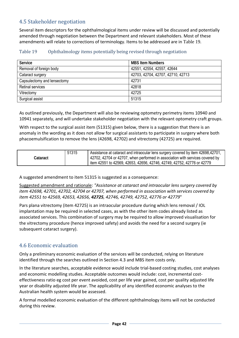# 4.5 Stakeholder negotiation

Several item descriptors for the ophthalmological items under review will be discussed and potentially amended through negotiation between the Department and relevant stakeholders. Most of these amendments will relate to corrections of terminology. Items to be addressed are in Table 19 [.](#page-44-0)

| Table 19 | Ophthalmology items potentially being revised through negotiation |  |
|----------|-------------------------------------------------------------------|--|
|          |                                                                   |  |
|          |                                                                   |  |

<span id="page-44-0"></span>

| <b>Service</b>              | <b>MBS Item Numbers</b>           |
|-----------------------------|-----------------------------------|
| Removal of foreign body     | 42551, 42554, 42557, 42644        |
| Cataract surgery            | 42703, 42704, 42707, 42710, 42713 |
| Capsulectomy and lensectomy | 42731                             |
| <b>Retinal services</b>     | 42818                             |
| Vitrectomy                  | 42725                             |
| Surgical assist             | 51315                             |

As outlined previously, the Department will also be reviewing optometry perimetry items 10940 and 10941 separately, and will undertake stakeholder negotiation with the relevant optometry craft groups.

With respect to the surgical assist item (51315) given below, there is a suggestion that there is an anomaly in the wording as it does not allow for surgical assistants to participate in surgery where both phacoemulsification to remove the lens (42698, 42702) and vitrectomy (42725) are required.

| 51315<br>Cataract | Assistance at cataract and intraocular lens surgery covered by item 42698,42701,<br>142702, 42704 or 42707, when performed in association with services covered by<br>litem 42551 to 42569, 42653, 42656, 42746, 42749, 42752, 42776 or 42779 |
|-------------------|-----------------------------------------------------------------------------------------------------------------------------------------------------------------------------------------------------------------------------------------------|
|-------------------|-----------------------------------------------------------------------------------------------------------------------------------------------------------------------------------------------------------------------------------------------|

A suggested amendment to item 51315 is suggested as a consequence:

Suggested amendment and rationale: *"Assistance at cataract and intraocular lens surgery covered by item 42698, 42701, 42702, 42704 or 42707, when performed in association with services covered by item 42551 to 42569, 42653, 42656, 42725, 42746, 42749, 42752, 42776 or 42779*"

Pars plana vitrectomy (item 42725) is an intraocular procedure during which lens removal / IOL implantation may be required in selected cases, as with the other item codes already listed as associated services. This combination of surgery may be required to allow improved visualisation for the vitrectomy procedure (hence improved safety) and avoids the need for a second surgery (ie subsequent cataract surgery).

# 4.6 Economic evaluation

Only a preliminary economic evaluation of the services will be conducted, relying on literature identified through the searches outlined in Section 4.3 and MBS item costs only.

In the literature searches, acceptable evidence would include trial‐based costing studies, cost analyses and economic modelling studies. Acceptable outcomes would include: cost, incremental costeffectiveness ratio eg cost per event avoided, cost per life year gained, cost per quality adjusted life year or disability adjusted life year. The applicability of any identified economic analyses to the Australian health system would be assessed.

A formal modelled economic evaluation of the different ophthalmology items will not be conducted during this review.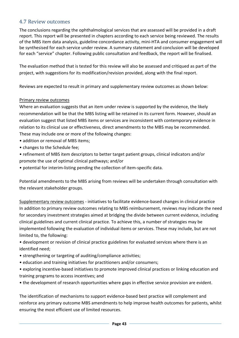# 4.7 Review outcomes

The conclusions regarding the ophthalmological services that are assessed will be provided in a draft report. This report will be presented in chapters according to each service being reviewed. The results of the MBS item data analysis, guideline concordance activity, mini‐HTA and consumer engagement will be synthesised for each service under review. A summary statement and conclusion will be developed for each "service" chapter. Following public consultation and feedback, the report will be finalised.

The evaluation method that is tested for this review will also be assessed and critiqued as part of the project, with suggestions for its modification/revision provided, along with the final report.

Reviews are expected to result in primary and supplementary review outcomes as shown below:

## Primary review outcomes

Where an evaluation suggests that an item under review is supported by the evidence, the likely recommendation will be that the MBS listing will be retained in its current form. However, should an evaluation suggest that listed MBS items or services are inconsistent with contemporary evidence in relation to its clinical use or effectiveness, direct amendments to the MBS may be recommended. These may include one or more of the following changes:

- addition or removal of MBS items:
- changes to the Schedule fee;
- refinement of MBS item descriptors to better target patient groups, clinical indicators and/or promote the use of optimal clinical pathways; and/or
- potential for interim‐listing pending the collection of item‐specific data.

Potential amendments to the MBS arising from reviews will be undertaken through consultation with the relevant stakeholder groups.

Supplementary review outcomes ‐ initiatives to facilitate evidence‐based changes in clinical practice In addition to primary review outcomes relating to MBS reimbursement, reviews may indicate the need for secondary investment strategies aimed at bridging the divide between current evidence, including clinical guidelines and current clinical practice. To achieve this, a number of strategies may be implemented following the evaluation of individual items or services. These may include, but are not limited to, the following:

• development or revision of clinical practice guidelines for evaluated services where there is an identified need;

- strengthening or targeting of auditing/compliance activities;
- education and training initiatives for practitioners and/or consumers;
- exploring incentive‐based initiatives to promote improved clinical practices or linking education and training programs to access incentives; and
- the development of research opportunities where gaps in effective service provision are evident.

The identification of mechanisms to support evidence‐based best practice will complement and reinforce any primary outcome MBS amendments to help improve health outcomes for patients, whilst ensuring the most efficient use of limited resources.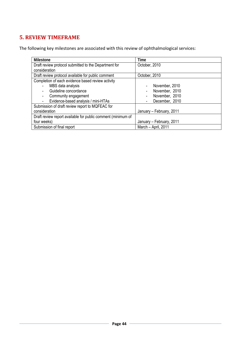# **5. REVIEW TIMEFRAME**

The following key milestones are associated with this review of ophthalmological services:

| <b>Milestone</b>                                                | <b>Time</b>              |
|-----------------------------------------------------------------|--------------------------|
| Draft review protocol submitted to the Department for           | October, 2010            |
| consideration                                                   |                          |
| Draft review protocol available for public comment              | October, 2010            |
| Completion of each evidence based review activity               |                          |
| MBS data analysis                                               | November, 2010<br>٠      |
| Guideline concordance                                           | November, 2010<br>٠      |
| Community engagement<br>٠                                       | November, 2010           |
| Evidence-based analysis / mini-HTAs<br>$\overline{\phantom{a}}$ | December, 2010           |
| Submission of draft review report to MQFEAC for                 |                          |
| consideration                                                   | January - February, 2011 |
| Draft review report available for public comment (minimum of    |                          |
| four weeks)                                                     | January - February, 2011 |
| Submission of final report                                      | March - April, 2011      |
|                                                                 |                          |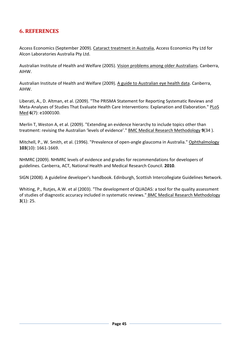# **6. REFERENCES**

Access Economics (September 2009). Cataract treatment in Australia, Access Economics Pty Ltd for Alcon Laboratories Australia Pty Ltd.

Australian Institute of Health and Welfare (2005). Vision problems among older Australians. Canberra, AIHW.

Australian Institute of Health and Welfare (2009). A guide to Australian eye health data. Canberra, AIHW.

Liberati, A., D. Altman, et al. (2009). "The PRISMA Statement for Reporting Systematic Reviews and Meta‐Analyses of Studies That Evaluate Health Care Interventions: Explanation and Elaboration." PLoS Med **6**(7): e1000100.

Merlin T, Weston A, et al. (2009). "Extending an evidence hierarchy to include topics other than treatment: revising the Australian 'levels of evidence'." BMC Medical Research Methodology **9**(34 ).

Mitchell, P., W. Smith, et al. (1996). "Prevalence of open-angle glaucoma in Australia." Ophthalmology **103**(10): 1661‐1669.

NHMRC (2009). NHMRC levels of evidence and grades for recommendations for developers of guidelines. Canberra, ACT, National Health and Medical Research Council. **2010**.

SIGN (2008). A guideline developer's handbook. Edinburgh, Scottish Intercollegiate Guidelines Network.

Whiting, P., Rutjes, A.W. et al (2003). "The development of QUADAS: a tool for the quality assessment of studies of diagnostic accuracy included in systematic reviews." BMC Medical Research Methodology **3**(1): 25.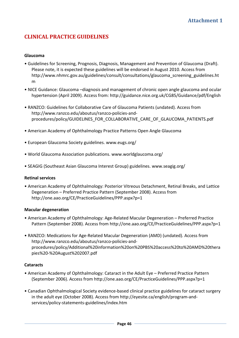# **CLINICAL PRACTICE GUIDELINES**

#### **Glaucoma**

- Guidelines for Screening, Prognosis, Diagnosis, Management and Prevention of Glaucoma (Draft). Please note, it is expected these guidelines will be endorsed in August 2010. Access from http://www.nhmrc.gov.au/guidelines/consult/consultations/glaucoma\_screening\_guidelines.ht m
- NICE Guidance: Glaucoma –diagnosis and management of chronic open angle glaucoma and ocular hypertension (April 2009). Access from: http://guidance.nice.org.uk/CG85/Guidance/pdf/English
- RANZCO: Guidelines for Collaborative Care of Glaucoma Patients (undated). Access from http://www.ranzco.edu/aboutus/ranzco‐policies‐and‐ procedures/policy/GUIDELINES\_FOR\_COLLABORATIVE\_CARE\_OF\_GLAUCOMA\_PATIENTS.pdf
- American Academy of Ophthalmology Practice Patterns Open Angle Glaucoma
- European Glaucoma Society guidelines. www.eugs.org/
- World Glaucoma Association publications. www.worldglaucoma.org/
- SEAGIG (Southeast Asian Glaucoma Interest Group) guidelines. www.seagig.org/

#### **Retinal services**

• American Academy of Ophthalmology: Posterior Vitreous Detachment, Retinal Breaks, and Lattice Degeneration – Preferred Practice Pattern (September 2008). Access from http://one.aao.org/CE/PracticeGuidelines/PPP.aspx?p=1

#### **Macular degeneration**

- American Academy of Ophthalmology: Age‐Related Macular Degeneration Preferred Practice Pattern (September 2008). Access from http://one.aao.org/CE/PracticeGuidelines/PPP.aspx?p=1
- RANZCO: Medications for Age‐Related Macular Degeneration (AMD) (undated). Access from http://www.ranzco.edu/aboutus/ranzco‐policies‐and‐ procedures/policy/Additional%20information%20on%20PBS%20access%20to%20AMD%20thera pies%20‐%20August%202007.pdf

#### **Cataracts**

- American Academy of Ophthalmology: Cataract in the Adult Eye Preferred Practice Pattern (September 2006). Access from http://one.aao.org/CE/PracticeGuidelines/PPP.aspx?p=1
- Canadian Ophthalmological Society evidence‐based clinical practice guidelines for cataract surgery in the adult eye (October 2008). Access from http://eyesite.ca/english/program‐and‐ services/policy‐statements‐guidelines/index.htm